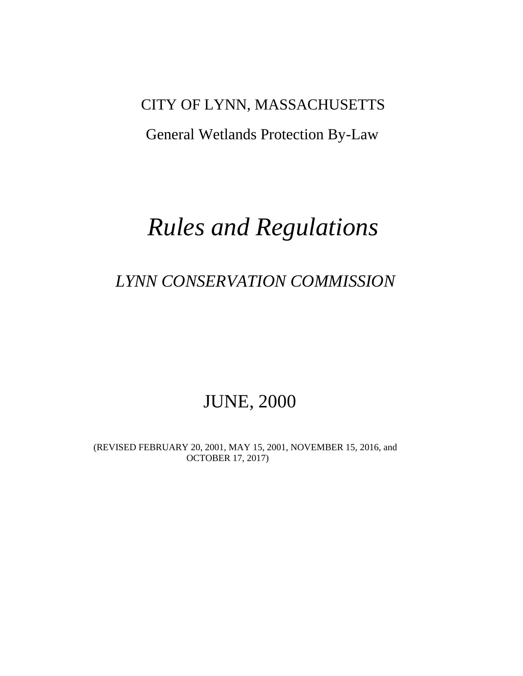### CITY OF LYNN, MASSACHUSETTS

## General Wetlands Protection By-Law

## *Rules and Regulations*

## *LYNN CONSERVATION COMMISSION*

## JUNE, 2000

 (REVISED FEBRUARY 20, 2001, MAY 15, 2001, NOVEMBER 15, 2016, and OCTOBER 17, 2017)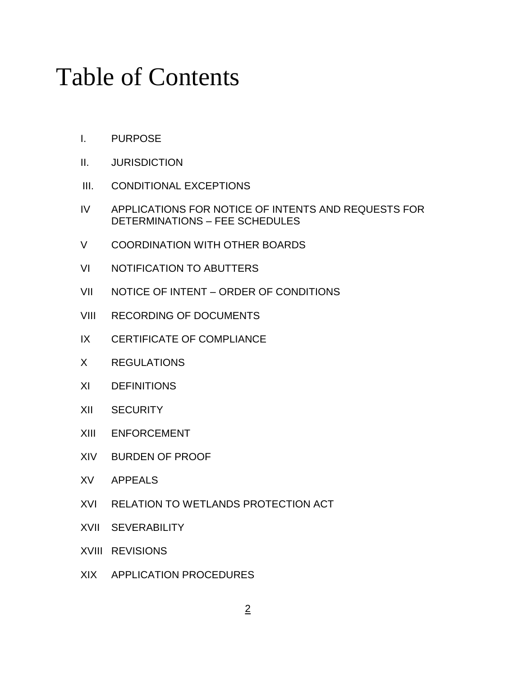# Table of Contents

- I. PURPOSE
- II. JURISDICTION
- III. CONDITIONAL EXCEPTIONS
- IV APPLICATIONS FOR NOTICE OF INTENTS AND REQUESTS FOR DETERMINATIONS – FEE SCHEDULES
- V COORDINATION WITH OTHER BOARDS
- VI NOTIFICATION TO ABUTTERS
- VII NOTICE OF INTENT ORDER OF CONDITIONS
- VIII RECORDING OF DOCUMENTS
- IX CERTIFICATE OF COMPLIANCE
- X REGULATIONS
- XI DEFINITIONS
- XII SECURITY
- XIII ENFORCEMENT
- XIV BURDEN OF PROOF
- XV APPEALS
- XVI RELATION TO WETLANDS PROTECTION ACT
- XVII SEVERABILITY
- XVIII REVISIONS
- XIX APPLICATION PROCEDURES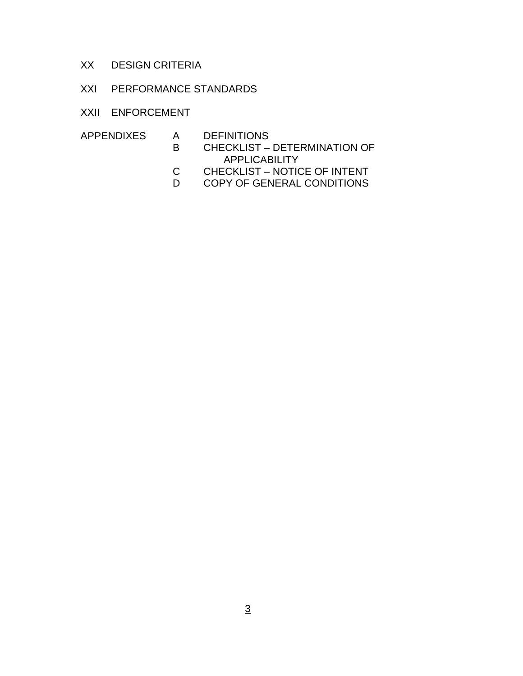- XX DESIGN CRITERIA
- XXI PERFORMANCE STANDARDS
- XXII ENFORCEMENT
- APPENDIXES A DEFINITIONS
	- B CHECKLIST DETERMINATION OF APPLICABILITY<br>C CHECKLIST – NOTIO
	- CHECKLIST NOTICE OF INTENT
	- D COPY OF GENERAL CONDITIONS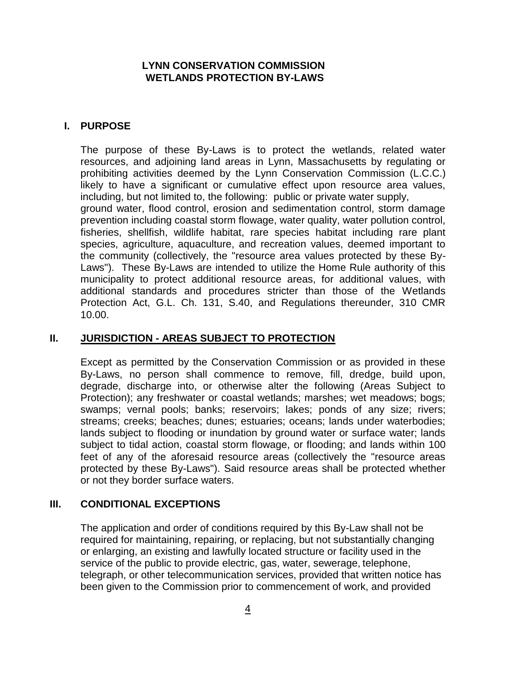#### **LYNN CONSERVATION COMMISSION WETLANDS PROTECTION BY-LAWS**

#### **I. PURPOSE**

The purpose of these By-Laws is to protect the wetlands, related water resources, and adjoining land areas in Lynn, Massachusetts by regulating or prohibiting activities deemed by the Lynn Conservation Commission (L.C.C.) likely to have a significant or cumulative effect upon resource area values, including, but not limited to, the following: public or private water supply, ground water, flood control, erosion and sedimentation control, storm damage prevention including coastal storm flowage, water quality, water pollution control, fisheries, shellfish, wildlife habitat, rare species habitat including rare plant species, agriculture, aquaculture, and recreation values, deemed important to the community (collectively, the "resource area values protected by these By-Laws"). These By-Laws are intended to utilize the Home Rule authority of this municipality to protect additional resource areas, for additional values, with additional standards and procedures stricter than those of the Wetlands Protection Act, G.L. Ch. 131, S.40, and Regulations thereunder, 310 CMR 10.00.

#### **II. JURISDICTION - AREAS SUBJECT TO PROTECTION**

Except as permitted by the Conservation Commission or as provided in these By-Laws, no person shall commence to remove, fill, dredge, build upon, degrade, discharge into, or otherwise alter the following (Areas Subject to Protection); any freshwater or coastal wetlands; marshes; wet meadows; bogs; swamps; vernal pools; banks; reservoirs; lakes; ponds of any size; rivers; streams; creeks; beaches; dunes; estuaries; oceans; lands under waterbodies; lands subject to flooding or inundation by ground water or surface water; lands subject to tidal action, coastal storm flowage, or flooding; and lands within 100 feet of any of the aforesaid resource areas (collectively the "resource areas protected by these By-Laws"). Said resource areas shall be protected whether or not they border surface waters.

#### **III. CONDITIONAL EXCEPTIONS**

The application and order of conditions required by this By-Law shall not be required for maintaining, repairing, or replacing, but not substantially changing or enlarging, an existing and lawfully located structure or facility used in the service of the public to provide electric, gas, water, sewerage, telephone, telegraph, or other telecommunication services, provided that written notice has been given to the Commission prior to commencement of work, and provided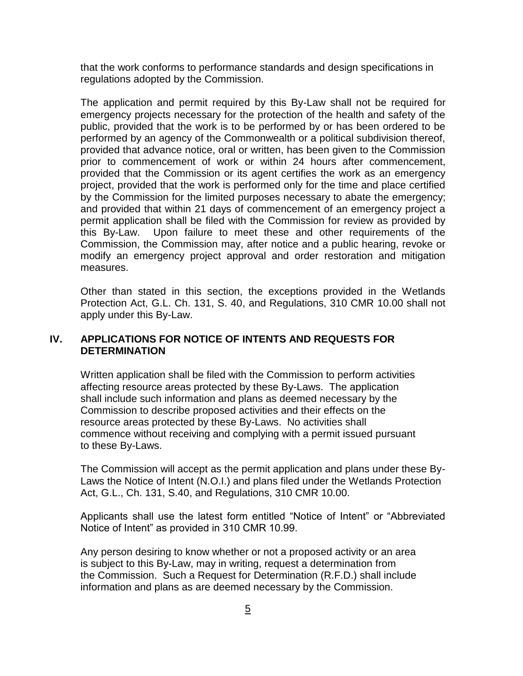that the work conforms to performance standards and design specifications in regulations adopted by the Commission.

The application and permit required by this By-Law shall not be required for emergency projects necessary for the protection of the health and safety of the public, provided that the work is to be performed by or has been ordered to be performed by an agency of the Commonwealth or a political subdivision thereof, provided that advance notice, oral or written, has been given to the Commission prior to commencement of work or within 24 hours after commencement, provided that the Commission or its agent certifies the work as an emergency project, provided that the work is performed only for the time and place certified by the Commission for the limited purposes necessary to abate the emergency; and provided that within 21 days of commencement of an emergency project a permit application shall be filed with the Commission for review as provided by this By-Law. Upon failure to meet these and other requirements of the Commission, the Commission may, after notice and a public hearing, revoke or modify an emergency project approval and order restoration and mitigation measures.

Other than stated in this section, the exceptions provided in the Wetlands Protection Act, G.L. Ch. 131, S. 40, and Regulations, 310 CMR 10.00 shall not apply under this By-Law.

#### **IV. APPLICATIONS FOR NOTICE OF INTENTS AND REQUESTS FOR DETERMINATION**

Written application shall be filed with the Commission to perform activities affecting resource areas protected by these By-Laws. The application shall include such information and plans as deemed necessary by the Commission to describe proposed activities and their effects on the resource areas protected by these By-Laws. No activities shall commence without receiving and complying with a permit issued pursuant to these By-Laws.

The Commission will accept as the permit application and plans under these By-Laws the Notice of Intent (N.O.I.) and plans filed under the Wetlands Protection Act, G.L., Ch. 131, S.40, and Regulations, 310 CMR 10.00.

Applicants shall use the latest form entitled "Notice of Intent" or "Abbreviated Notice of Intent" as provided in 310 CMR 10.99.

Any person desiring to know whether or not a proposed activity or an area is subject to this By-Law, may in writing, request a determination from the Commission. Such a Request for Determination (R.F.D.) shall include information and plans as are deemed necessary by the Commission.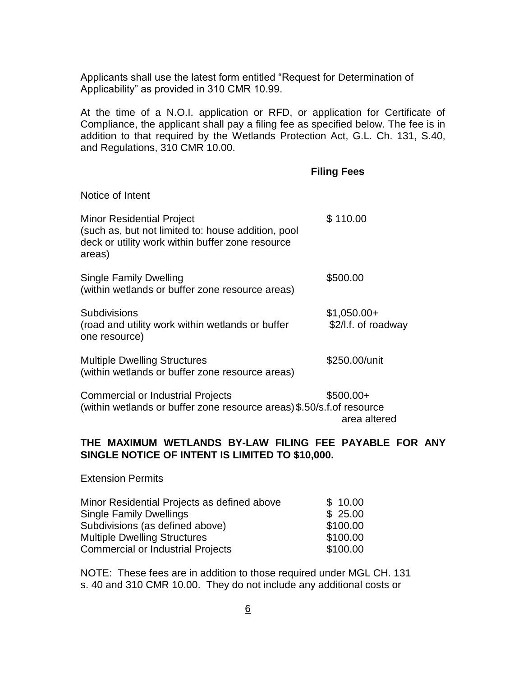Applicants shall use the latest form entitled "Request for Determination of Applicability" as provided in 310 CMR 10.99.

At the time of a N.O.I. application or RFD, or application for Certificate of Compliance, the applicant shall pay a filing fee as specified below. The fee is in addition to that required by the Wetlands Protection Act, G.L. Ch. 131, S.40, and Regulations, 310 CMR 10.00.

#### **Filing Fees**

area altered

| Notice of Intent                                                                                                                                     |                                     |
|------------------------------------------------------------------------------------------------------------------------------------------------------|-------------------------------------|
| <b>Minor Residential Project</b><br>(such as, but not limited to: house addition, pool<br>deck or utility work within buffer zone resource<br>areas) | \$110.00                            |
| <b>Single Family Dwelling</b><br>(within wetlands or buffer zone resource areas)                                                                     | \$500.00                            |
| Subdivisions<br>(road and utility work within wetlands or buffer<br>one resource)                                                                    | $$1,050.00+$<br>\$2/I.f. of roadway |
| <b>Multiple Dwelling Structures</b><br>(within wetlands or buffer zone resource areas)                                                               | \$250.00/unit                       |
| <b>Commercial or Industrial Projects</b><br>(within wetlands or buffer zone resource areas) \$.50/s.f. of resource                                   | $$500.00+$                          |

#### **THE MAXIMUM WETLANDS BY-LAW FILING FEE PAYABLE FOR ANY SINGLE NOTICE OF INTENT IS LIMITED TO \$10,000.**

Extension Permits

| Minor Residential Projects as defined above | \$10.00  |
|---------------------------------------------|----------|
| <b>Single Family Dwellings</b>              | \$25.00  |
| Subdivisions (as defined above)             | \$100.00 |
| <b>Multiple Dwelling Structures</b>         | \$100.00 |
| <b>Commercial or Industrial Projects</b>    | \$100.00 |

NOTE: These fees are in addition to those required under MGL CH. 131 s. 40 and 310 CMR 10.00. They do not include any additional costs or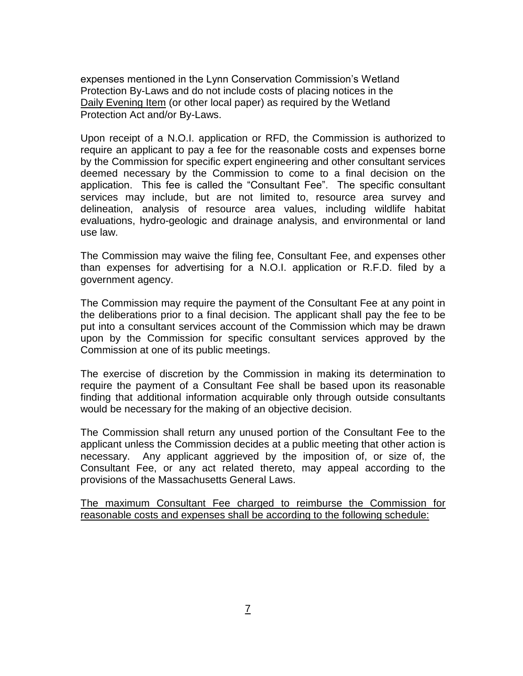expenses mentioned in the Lynn Conservation Commission's Wetland Protection By-Laws and do not include costs of placing notices in the Daily Evening Item (or other local paper) as required by the Wetland Protection Act and/or By-Laws.

Upon receipt of a N.O.I. application or RFD, the Commission is authorized to require an applicant to pay a fee for the reasonable costs and expenses borne by the Commission for specific expert engineering and other consultant services deemed necessary by the Commission to come to a final decision on the application. This fee is called the "Consultant Fee". The specific consultant services may include, but are not limited to, resource area survey and delineation, analysis of resource area values, including wildlife habitat evaluations, hydro-geologic and drainage analysis, and environmental or land use law.

The Commission may waive the filing fee, Consultant Fee, and expenses other than expenses for advertising for a N.O.I. application or R.F.D. filed by a government agency.

The Commission may require the payment of the Consultant Fee at any point in the deliberations prior to a final decision. The applicant shall pay the fee to be put into a consultant services account of the Commission which may be drawn upon by the Commission for specific consultant services approved by the Commission at one of its public meetings.

The exercise of discretion by the Commission in making its determination to require the payment of a Consultant Fee shall be based upon its reasonable finding that additional information acquirable only through outside consultants would be necessary for the making of an objective decision.

The Commission shall return any unused portion of the Consultant Fee to the applicant unless the Commission decides at a public meeting that other action is necessary. Any applicant aggrieved by the imposition of, or size of, the Consultant Fee, or any act related thereto, may appeal according to the provisions of the Massachusetts General Laws.

The maximum Consultant Fee charged to reimburse the Commission for reasonable costs and expenses shall be according to the following schedule: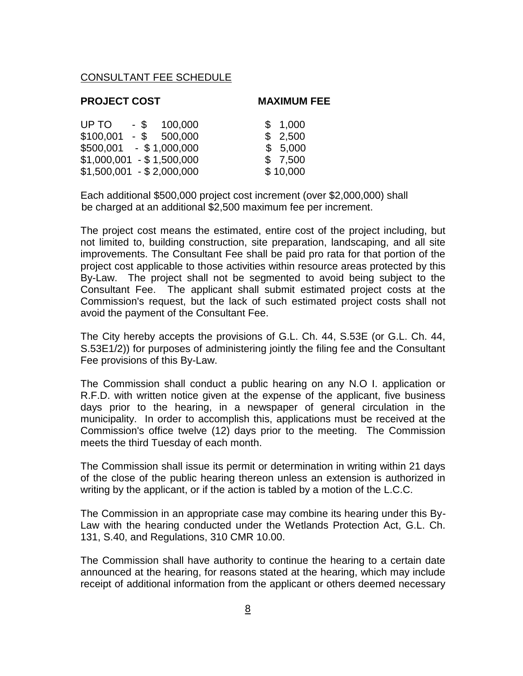#### CONSULTANT FEE SCHEDULE

#### **PROJECT COST MAXIMUM FEE**

| UP TO<br>100,000<br>$-$ \$  | \$1,000  |
|-----------------------------|----------|
| \$100,001<br>$-$ \$ 500,000 | \$2,500  |
| $$500,001$ - \$1,000,000    | \$5,000  |
| $$1,000,001 - $1,500,000$   | \$7,500  |
| $$1,500,001 - $2,000,000$   | \$10,000 |

Each additional \$500,000 project cost increment (over \$2,000,000) shall be charged at an additional \$2,500 maximum fee per increment.

The project cost means the estimated, entire cost of the project including, but not limited to, building construction, site preparation, landscaping, and all site improvements. The Consultant Fee shall be paid pro rata for that portion of the project cost applicable to those activities within resource areas protected by this By-Law. The project shall not be segmented to avoid being subject to the Consultant Fee. The applicant shall submit estimated project costs at the Commission's request, but the lack of such estimated project costs shall not avoid the payment of the Consultant Fee.

The City hereby accepts the provisions of G.L. Ch. 44, S.53E (or G.L. Ch. 44, S.53E1/2)) for purposes of administering jointly the filing fee and the Consultant Fee provisions of this By-Law.

The Commission shall conduct a public hearing on any N.O I. application or R.F.D. with written notice given at the expense of the applicant, five business days prior to the hearing, in a newspaper of general circulation in the municipality. In order to accomplish this, applications must be received at the Commission's office twelve (12) days prior to the meeting. The Commission meets the third Tuesday of each month.

The Commission shall issue its permit or determination in writing within 21 days of the close of the public hearing thereon unless an extension is authorized in writing by the applicant, or if the action is tabled by a motion of the L.C.C.

The Commission in an appropriate case may combine its hearing under this By-Law with the hearing conducted under the Wetlands Protection Act, G.L. Ch. 131, S.40, and Regulations, 310 CMR 10.00.

The Commission shall have authority to continue the hearing to a certain date announced at the hearing, for reasons stated at the hearing, which may include receipt of additional information from the applicant or others deemed necessary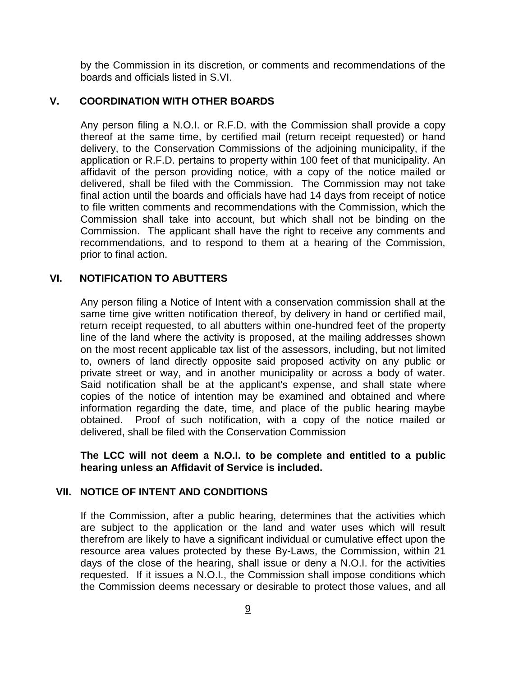by the Commission in its discretion, or comments and recommendations of the boards and officials listed in S.VI.

#### **V. COORDINATION WITH OTHER BOARDS**

Any person filing a N.O.I. or R.F.D. with the Commission shall provide a copy thereof at the same time, by certified mail (return receipt requested) or hand delivery, to the Conservation Commissions of the adjoining municipality, if the application or R.F.D. pertains to property within 100 feet of that municipality. An affidavit of the person providing notice, with a copy of the notice mailed or delivered, shall be filed with the Commission. The Commission may not take final action until the boards and officials have had 14 days from receipt of notice to file written comments and recommendations with the Commission, which the Commission shall take into account, but which shall not be binding on the Commission. The applicant shall have the right to receive any comments and recommendations, and to respond to them at a hearing of the Commission, prior to final action.

#### **VI. NOTIFICATION TO ABUTTERS**

Any person filing a Notice of Intent with a conservation commission shall at the same time give written notification thereof, by delivery in hand or certified mail, return receipt requested, to all abutters within one-hundred feet of the property line of the land where the activity is proposed, at the mailing addresses shown on the most recent applicable tax list of the assessors, including, but not limited to, owners of land directly opposite said proposed activity on any public or private street or way, and in another municipality or across a body of water. Said notification shall be at the applicant's expense, and shall state where copies of the notice of intention may be examined and obtained and where information regarding the date, time, and place of the public hearing maybe obtained. Proof of such notification, with a copy of the notice mailed or delivered, shall be filed with the Conservation Commission

**The LCC will not deem a N.O.I. to be complete and entitled to a public hearing unless an Affidavit of Service is included.**

#### **VII. NOTICE OF INTENT AND CONDITIONS**

If the Commission, after a public hearing, determines that the activities which are subject to the application or the land and water uses which will result therefrom are likely to have a significant individual or cumulative effect upon the resource area values protected by these By-Laws, the Commission, within 21 days of the close of the hearing, shall issue or deny a N.O.I. for the activities requested. If it issues a N.O.I., the Commission shall impose conditions which the Commission deems necessary or desirable to protect those values, and all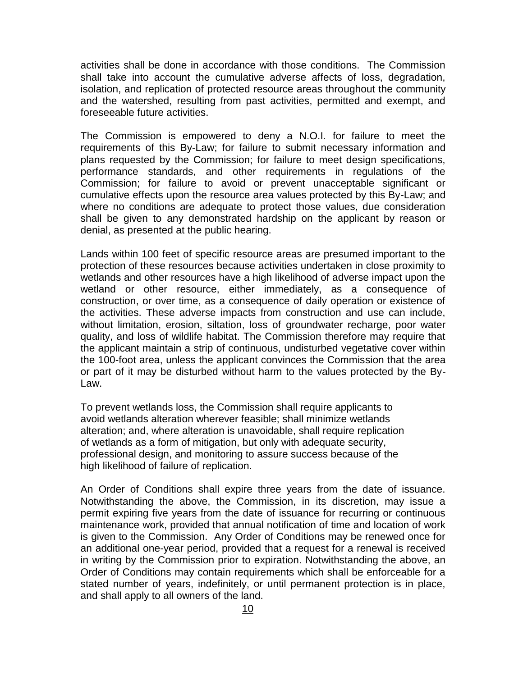activities shall be done in accordance with those conditions. The Commission shall take into account the cumulative adverse affects of loss, degradation, isolation, and replication of protected resource areas throughout the community and the watershed, resulting from past activities, permitted and exempt, and foreseeable future activities.

The Commission is empowered to deny a N.O.I. for failure to meet the requirements of this By-Law; for failure to submit necessary information and plans requested by the Commission; for failure to meet design specifications, performance standards, and other requirements in regulations of the Commission; for failure to avoid or prevent unacceptable significant or cumulative effects upon the resource area values protected by this By-Law; and where no conditions are adequate to protect those values, due consideration shall be given to any demonstrated hardship on the applicant by reason or denial, as presented at the public hearing.

Lands within 100 feet of specific resource areas are presumed important to the protection of these resources because activities undertaken in close proximity to wetlands and other resources have a high likelihood of adverse impact upon the wetland or other resource, either immediately, as a consequence of construction, or over time, as a consequence of daily operation or existence of the activities. These adverse impacts from construction and use can include, without limitation, erosion, siltation, loss of groundwater recharge, poor water quality, and loss of wildlife habitat. The Commission therefore may require that the applicant maintain a strip of continuous, undisturbed vegetative cover within the 100-foot area, unless the applicant convinces the Commission that the area or part of it may be disturbed without harm to the values protected by the By-Law.

To prevent wetlands loss, the Commission shall require applicants to avoid wetlands alteration wherever feasible; shall minimize wetlands alteration; and, where alteration is unavoidable, shall require replication of wetlands as a form of mitigation, but only with adequate security, professional design, and monitoring to assure success because of the high likelihood of failure of replication.

An Order of Conditions shall expire three years from the date of issuance. Notwithstanding the above, the Commission, in its discretion, may issue a permit expiring five years from the date of issuance for recurring or continuous maintenance work, provided that annual notification of time and location of work is given to the Commission. Any Order of Conditions may be renewed once for an additional one-year period, provided that a request for a renewal is received in writing by the Commission prior to expiration. Notwithstanding the above, an Order of Conditions may contain requirements which shall be enforceable for a stated number of years, indefinitely, or until permanent protection is in place, and shall apply to all owners of the land.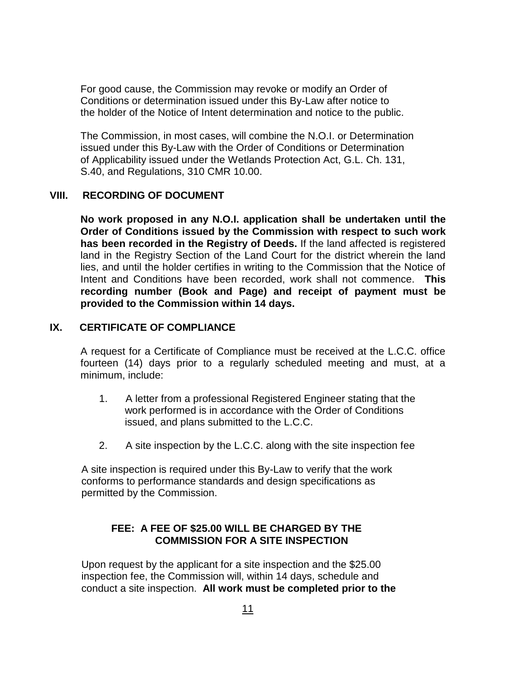For good cause, the Commission may revoke or modify an Order of Conditions or determination issued under this By-Law after notice to the holder of the Notice of Intent determination and notice to the public.

The Commission, in most cases, will combine the N.O.I. or Determination issued under this By-Law with the Order of Conditions or Determination of Applicability issued under the Wetlands Protection Act, G.L. Ch. 131, S.40, and Regulations, 310 CMR 10.00.

#### **VIII. RECORDING OF DOCUMENT**

**No work proposed in any N.O.I. application shall be undertaken until the Order of Conditions issued by the Commission with respect to such work has been recorded in the Registry of Deeds.** If the land affected is registered land in the Registry Section of the Land Court for the district wherein the land lies, and until the holder certifies in writing to the Commission that the Notice of Intent and Conditions have been recorded, work shall not commence. **This recording number (Book and Page) and receipt of payment must be provided to the Commission within 14 days.**

#### **IX. CERTIFICATE OF COMPLIANCE**

A request for a Certificate of Compliance must be received at the L.C.C. office fourteen (14) days prior to a regularly scheduled meeting and must, at a minimum, include:

- 1. A letter from a professional Registered Engineer stating that the work performed is in accordance with the Order of Conditions issued, and plans submitted to the L.C.C.
- 2. A site inspection by the L.C.C. along with the site inspection fee

 A site inspection is required under this By-Law to verify that the work conforms to performance standards and design specifications as permitted by the Commission.

#### **FEE: A FEE OF \$25.00 WILL BE CHARGED BY THE COMMISSION FOR A SITE INSPECTION**

 Upon request by the applicant for a site inspection and the \$25.00 inspection fee, the Commission will, within 14 days, schedule and conduct a site inspection. **All work must be completed prior to the**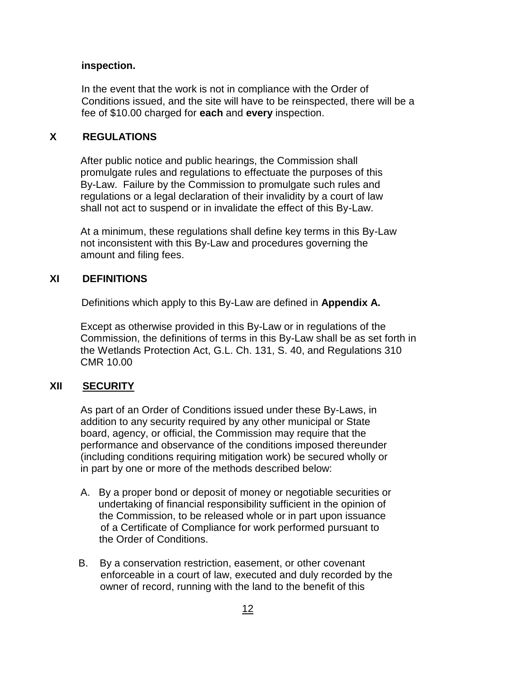#### **inspection.**

 In the event that the work is not in compliance with the Order of Conditions issued, and the site will have to be reinspected, there will be a fee of \$10.00 charged for **each** and **every** inspection.

#### **X REGULATIONS**

After public notice and public hearings, the Commission shall promulgate rules and regulations to effectuate the purposes of this By-Law. Failure by the Commission to promulgate such rules and regulations or a legal declaration of their invalidity by a court of law shall not act to suspend or in invalidate the effect of this By-Law.

At a minimum, these regulations shall define key terms in this By-Law not inconsistent with this By-Law and procedures governing the amount and filing fees.

#### **XI DEFINITIONS**

Definitions which apply to this By-Law are defined in **Appendix A.**

Except as otherwise provided in this By-Law or in regulations of the Commission, the definitions of terms in this By-Law shall be as set forth in the Wetlands Protection Act, G.L. Ch. 131, S. 40, and Regulations 310 CMR 10.00

#### **XII SECURITY**

As part of an Order of Conditions issued under these By-Laws, in addition to any security required by any other municipal or State board, agency, or official, the Commission may require that the performance and observance of the conditions imposed thereunder (including conditions requiring mitigation work) be secured wholly or in part by one or more of the methods described below:

- A. By a proper bond or deposit of money or negotiable securities or undertaking of financial responsibility sufficient in the opinion of the Commission, to be released whole or in part upon issuance of a Certificate of Compliance for work performed pursuant to the Order of Conditions.
- B. By a conservation restriction, easement, or other covenant enforceable in a court of law, executed and duly recorded by the owner of record, running with the land to the benefit of this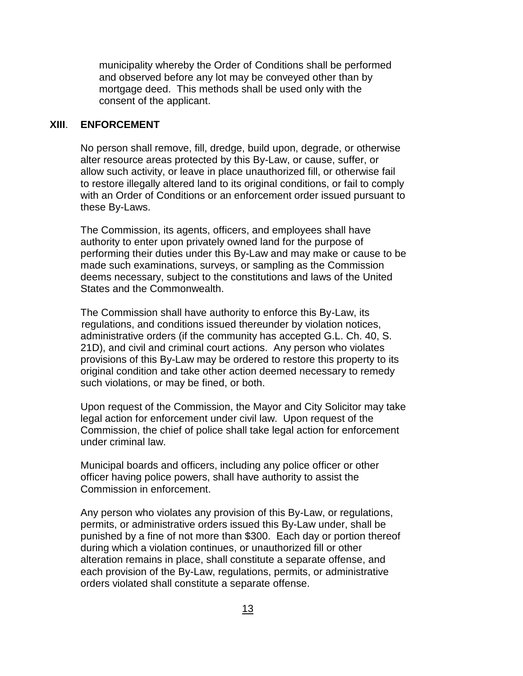municipality whereby the Order of Conditions shall be performed and observed before any lot may be conveyed other than by mortgage deed. This methods shall be used only with the consent of the applicant.

#### **XIII**. **ENFORCEMENT**

 No person shall remove, fill, dredge, build upon, degrade, or otherwise alter resource areas protected by this By-Law, or cause, suffer, or allow such activity, or leave in place unauthorized fill, or otherwise fail to restore illegally altered land to its original conditions, or fail to comply with an Order of Conditions or an enforcement order issued pursuant to these By-Laws.

The Commission, its agents, officers, and employees shall have authority to enter upon privately owned land for the purpose of performing their duties under this By-Law and may make or cause to be made such examinations, surveys, or sampling as the Commission deems necessary, subject to the constitutions and laws of the United States and the Commonwealth.

The Commission shall have authority to enforce this By-Law, its regulations, and conditions issued thereunder by violation notices, administrative orders (if the community has accepted G.L. Ch. 40, S. 21D), and civil and criminal court actions. Any person who violates provisions of this By-Law may be ordered to restore this property to its original condition and take other action deemed necessary to remedy such violations, or may be fined, or both.

Upon request of the Commission, the Mayor and City Solicitor may take legal action for enforcement under civil law. Upon request of the Commission, the chief of police shall take legal action for enforcement under criminal law.

Municipal boards and officers, including any police officer or other officer having police powers, shall have authority to assist the Commission in enforcement.

Any person who violates any provision of this By-Law, or regulations, permits, or administrative orders issued this By-Law under, shall be punished by a fine of not more than \$300. Each day or portion thereof during which a violation continues, or unauthorized fill or other alteration remains in place, shall constitute a separate offense, and each provision of the By-Law, regulations, permits, or administrative orders violated shall constitute a separate offense.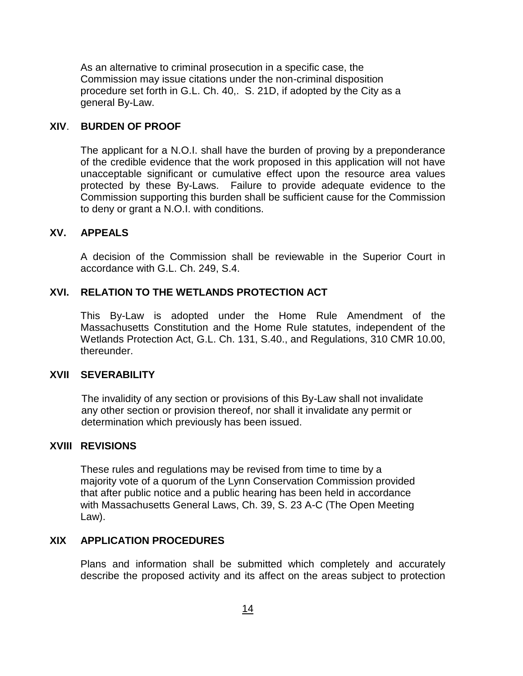As an alternative to criminal prosecution in a specific case, the Commission may issue citations under the non-criminal disposition procedure set forth in G.L. Ch. 40,. S. 21D, if adopted by the City as a general By-Law.

#### **XIV**. **BURDEN OF PROOF**

The applicant for a N.O.I. shall have the burden of proving by a preponderance of the credible evidence that the work proposed in this application will not have unacceptable significant or cumulative effect upon the resource area values protected by these By-Laws. Failure to provide adequate evidence to the Commission supporting this burden shall be sufficient cause for the Commission to deny or grant a N.O.I. with conditions.

#### **XV. APPEALS**

A decision of the Commission shall be reviewable in the Superior Court in accordance with G.L. Ch. 249, S.4.

#### **XVI. RELATION TO THE WETLANDS PROTECTION ACT**

This By-Law is adopted under the Home Rule Amendment of the Massachusetts Constitution and the Home Rule statutes, independent of the Wetlands Protection Act, G.L. Ch. 131, S.40., and Regulations, 310 CMR 10.00, thereunder.

#### **XVII SEVERABILITY**

 The invalidity of any section or provisions of this By-Law shall not invalidate any other section or provision thereof, nor shall it invalidate any permit or determination which previously has been issued.

#### **XVIII REVISIONS**

These rules and regulations may be revised from time to time by a majority vote of a quorum of the Lynn Conservation Commission provided that after public notice and a public hearing has been held in accordance with Massachusetts General Laws, Ch. 39, S. 23 A-C (The Open Meeting Law).

#### **XIX APPLICATION PROCEDURES**

Plans and information shall be submitted which completely and accurately describe the proposed activity and its affect on the areas subject to protection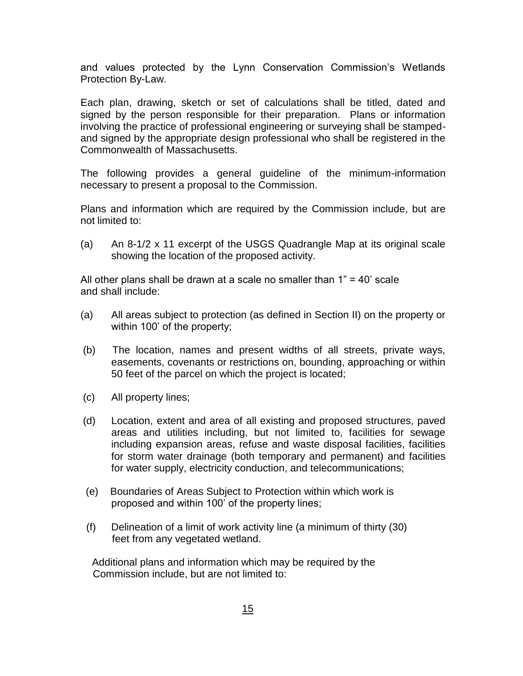and values protected by the Lynn Conservation Commission's Wetlands Protection By-Law.

Each plan, drawing, sketch or set of calculations shall be titled, dated and signed by the person responsible for their preparation. Plans or information involving the practice of professional engineering or surveying shall be stampedand signed by the appropriate design professional who shall be registered in the Commonwealth of Massachusetts.

The following provides a general guideline of the minimum-information necessary to present a proposal to the Commission.

Plans and information which are required by the Commission include, but are not limited to:

(a) An 8-1/2 x 11 excerpt of the USGS Quadrangle Map at its original scale showing the location of the proposed activity.

All other plans shall be drawn at a scale no smaller than  $1" = 40'$  scale and shall include:

- (a) All areas subject to protection (as defined in Section II) on the property or within 100' of the property;
- (b) The location, names and present widths of all streets, private ways, easements, covenants or restrictions on, bounding, approaching or within 50 feet of the parcel on which the project is located;
- (c) All property lines;
- (d) Location, extent and area of all existing and proposed structures, paved areas and utilities including, but not limited to, facilities for sewage including expansion areas, refuse and waste disposal facilities, facilities for storm water drainage (both temporary and permanent) and facilities for water supply, electricity conduction, and telecommunications;
- (e) Boundaries of Areas Subject to Protection within which work is proposed and within 100' of the property lines;
- (f) Delineation of a limit of work activity line (a minimum of thirty (30) feet from any vegetated wetland.

 Additional plans and information which may be required by the Commission include, but are not limited to: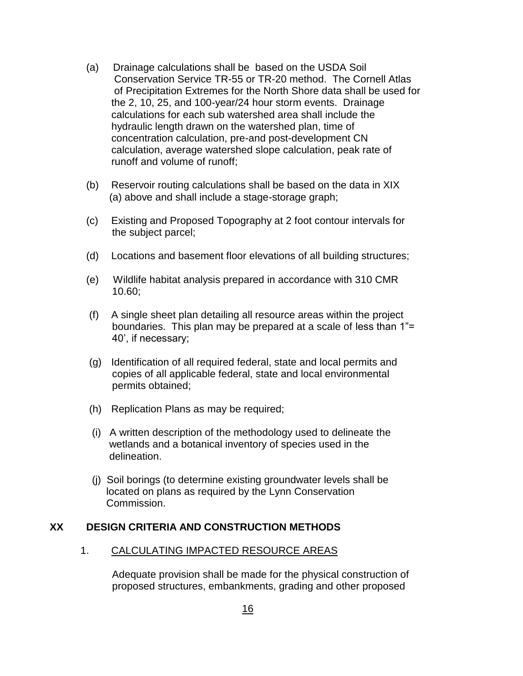- (a) Drainage calculations shall be based on the USDA Soil Conservation Service TR-55 or TR-20 method. The Cornell Atlas of Precipitation Extremes for the North Shore data shall be used for the 2, 10, 25, and 100-year/24 hour storm events. Drainage calculations for each sub watershed area shall include the hydraulic length drawn on the watershed plan, time of concentration calculation, pre-and post-development CN calculation, average watershed slope calculation, peak rate of runoff and volume of runoff;
- (b) Reservoir routing calculations shall be based on the data in XIX (a) above and shall include a stage-storage graph;
- (c) Existing and Proposed Topography at 2 foot contour intervals for the subject parcel;
- (d) Locations and basement floor elevations of all building structures;
- (e) Wildlife habitat analysis prepared in accordance with 310 CMR 10.60;
- (f) A single sheet plan detailing all resource areas within the project boundaries. This plan may be prepared at a scale of less than 1"= 40', if necessary;
- (g) Identification of all required federal, state and local permits and copies of all applicable federal, state and local environmental permits obtained;
- (h) Replication Plans as may be required;
- (i) A written description of the methodology used to delineate the wetlands and a botanical inventory of species used in the delineation.
- (j) Soil borings (to determine existing groundwater levels shall be located on plans as required by the Lynn Conservation Commission.

#### **XX DESIGN CRITERIA AND CONSTRUCTION METHODS**

#### 1. CALCULATING IMPACTED RESOURCE AREAS

 Adequate provision shall be made for the physical construction of proposed structures, embankments, grading and other proposed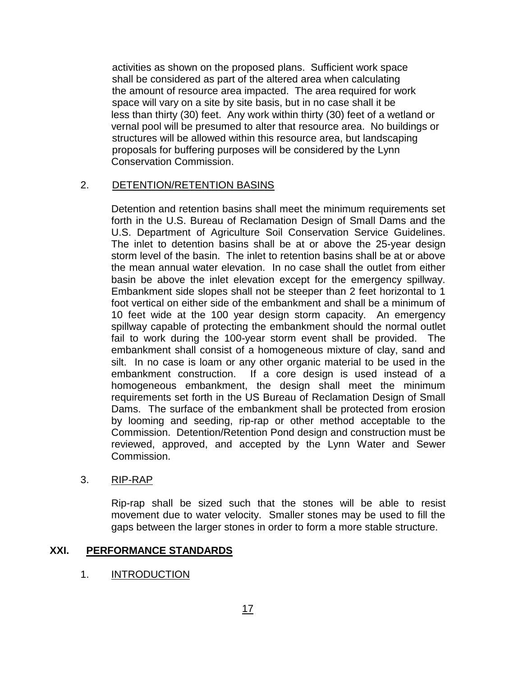activities as shown on the proposed plans. Sufficient work space shall be considered as part of the altered area when calculating the amount of resource area impacted. The area required for work space will vary on a site by site basis, but in no case shall it be less than thirty (30) feet. Any work within thirty (30) feet of a wetland or vernal pool will be presumed to alter that resource area. No buildings or structures will be allowed within this resource area, but landscaping proposals for buffering purposes will be considered by the Lynn Conservation Commission.

#### 2. DETENTION/RETENTION BASINS

Detention and retention basins shall meet the minimum requirements set forth in the U.S. Bureau of Reclamation Design of Small Dams and the U.S. Department of Agriculture Soil Conservation Service Guidelines. The inlet to detention basins shall be at or above the 25-year design storm level of the basin. The inlet to retention basins shall be at or above the mean annual water elevation. In no case shall the outlet from either basin be above the inlet elevation except for the emergency spillway. Embankment side slopes shall not be steeper than 2 feet horizontal to 1 foot vertical on either side of the embankment and shall be a minimum of 10 feet wide at the 100 year design storm capacity. An emergency spillway capable of protecting the embankment should the normal outlet fail to work during the 100-year storm event shall be provided. The embankment shall consist of a homogeneous mixture of clay, sand and silt. In no case is loam or any other organic material to be used in the embankment construction. If a core design is used instead of a homogeneous embankment, the design shall meet the minimum requirements set forth in the US Bureau of Reclamation Design of Small Dams. The surface of the embankment shall be protected from erosion by looming and seeding, rip-rap or other method acceptable to the Commission. Detention/Retention Pond design and construction must be reviewed, approved, and accepted by the Lynn Water and Sewer Commission.

#### 3. RIP-RAP

Rip-rap shall be sized such that the stones will be able to resist movement due to water velocity. Smaller stones may be used to fill the gaps between the larger stones in order to form a more stable structure.

#### **XXI. PERFORMANCE STANDARDS**

### 1. **INTRODUCTION**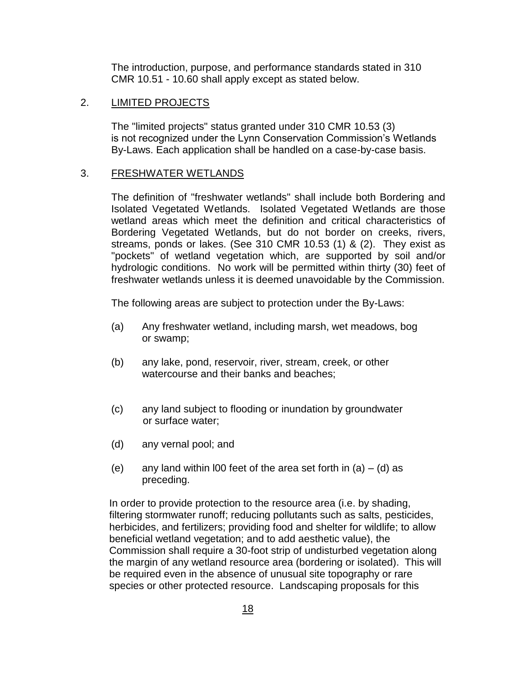The introduction, purpose, and performance standards stated in 310 CMR 10.51 - 10.60 shall apply except as stated below.

#### 2. **LIMITED PROJECTS**

The "limited projects" status granted under 310 CMR 10.53 (3) is not recognized under the Lynn Conservation Commission's Wetlands By-Laws. Each application shall be handled on a case-by-case basis.

#### 3. FRESHWATER WETLANDS

The definition of "freshwater wetlands" shall include both Bordering and Isolated Vegetated Wetlands. Isolated Vegetated Wetlands are those wetland areas which meet the definition and critical characteristics of Bordering Vegetated Wetlands, but do not border on creeks, rivers, streams, ponds or lakes. (See 310 CMR 10.53 (1) & (2). They exist as "pockets" of wetland vegetation which, are supported by soil and/or hydrologic conditions. No work will be permitted within thirty (30) feet of freshwater wetlands unless it is deemed unavoidable by the Commission.

The following areas are subject to protection under the By-Laws:

- (a) Any freshwater wetland, including marsh, wet meadows, bog or swamp;
- (b) any lake, pond, reservoir, river, stream, creek, or other watercourse and their banks and beaches;
- (c) any land subject to flooding or inundation by groundwater or surface water;
- (d) any vernal pool; and
- (e) any land within l00 feet of the area set forth in  $(a) (d)$  as preceding.

 In order to provide protection to the resource area (i.e. by shading, filtering stormwater runoff; reducing pollutants such as salts, pesticides, herbicides, and fertilizers; providing food and shelter for wildlife; to allow beneficial wetland vegetation; and to add aesthetic value), the Commission shall require a 30-foot strip of undisturbed vegetation along the margin of any wetland resource area (bordering or isolated). This will be required even in the absence of unusual site topography or rare species or other protected resource. Landscaping proposals for this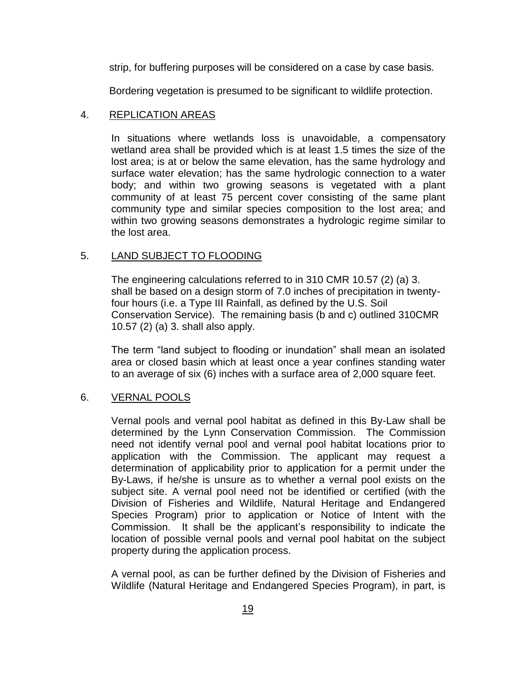strip, for buffering purposes will be considered on a case by case basis.

Bordering vegetation is presumed to be significant to wildlife protection.

#### 4. REPLICATION AREAS

In situations where wetlands loss is unavoidable, a compensatory wetland area shall be provided which is at least 1.5 times the size of the lost area; is at or below the same elevation, has the same hydrology and surface water elevation; has the same hydrologic connection to a water body; and within two growing seasons is vegetated with a plant community of at least 75 percent cover consisting of the same plant community type and similar species composition to the lost area; and within two growing seasons demonstrates a hydrologic regime similar to the lost area.

#### 5. LAND SUBJECT TO FLOODING

The engineering calculations referred to in 310 CMR 10.57 (2) (a) 3. shall be based on a design storm of 7.0 inches of precipitation in twentyfour hours (i.e. a Type III Rainfall, as defined by the U.S. Soil Conservation Service). The remaining basis (b and c) outlined 310CMR 10.57 (2) (a) 3. shall also apply.

The term "land subject to flooding or inundation" shall mean an isolated area or closed basin which at least once a year confines standing water to an average of six (6) inches with a surface area of 2,000 square feet.

#### 6. VERNAL POOLS

Vernal pools and vernal pool habitat as defined in this By-Law shall be determined by the Lynn Conservation Commission. The Commission need not identify vernal pool and vernal pool habitat locations prior to application with the Commission. The applicant may request a determination of applicability prior to application for a permit under the By-Laws, if he/she is unsure as to whether a vernal pool exists on the subject site. A vernal pool need not be identified or certified (with the Division of Fisheries and Wildlife, Natural Heritage and Endangered Species Program) prior to application or Notice of Intent with the Commission. It shall be the applicant's responsibility to indicate the location of possible vernal pools and vernal pool habitat on the subject property during the application process.

A vernal pool, as can be further defined by the Division of Fisheries and Wildlife (Natural Heritage and Endangered Species Program), in part, is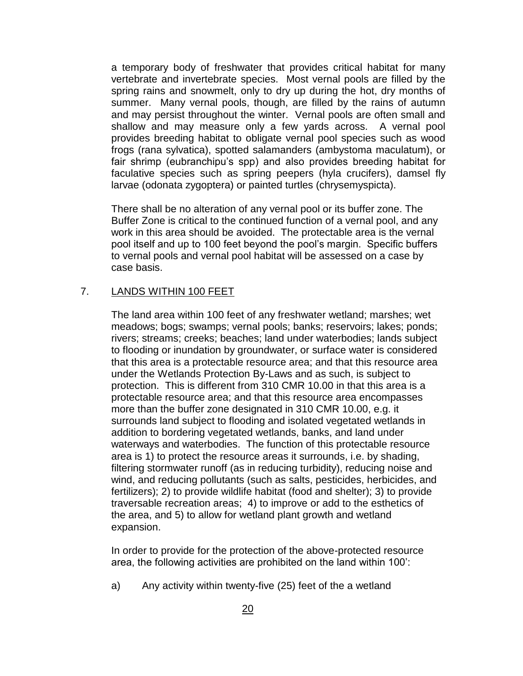a temporary body of freshwater that provides critical habitat for many vertebrate and invertebrate species. Most vernal pools are filled by the spring rains and snowmelt, only to dry up during the hot, dry months of summer. Many vernal pools, though, are filled by the rains of autumn and may persist throughout the winter. Vernal pools are often small and shallow and may measure only a few yards across. A vernal pool provides breeding habitat to obligate vernal pool species such as wood frogs (rana sylvatica), spotted salamanders (ambystoma maculatum), or fair shrimp (eubranchipu's spp) and also provides breeding habitat for faculative species such as spring peepers (hyla crucifers), damsel fly larvae (odonata zygoptera) or painted turtles (chrysemyspicta).

There shall be no alteration of any vernal pool or its buffer zone. The Buffer Zone is critical to the continued function of a vernal pool, and any work in this area should be avoided. The protectable area is the vernal pool itself and up to 100 feet beyond the pool's margin. Specific buffers to vernal pools and vernal pool habitat will be assessed on a case by case basis.

#### 7. LANDS WITHIN 100 FEET

The land area within 100 feet of any freshwater wetland; marshes; wet meadows; bogs; swamps; vernal pools; banks; reservoirs; lakes; ponds; rivers; streams; creeks; beaches; land under waterbodies; lands subject to flooding or inundation by groundwater, or surface water is considered that this area is a protectable resource area; and that this resource area under the Wetlands Protection By-Laws and as such, is subject to protection. This is different from 310 CMR 10.00 in that this area is a protectable resource area; and that this resource area encompasses more than the buffer zone designated in 310 CMR 10.00, e.g. it surrounds land subject to flooding and isolated vegetated wetlands in addition to bordering vegetated wetlands, banks, and land under waterways and waterbodies. The function of this protectable resource area is 1) to protect the resource areas it surrounds, i.e. by shading, filtering stormwater runoff (as in reducing turbidity), reducing noise and wind, and reducing pollutants (such as salts, pesticides, herbicides, and fertilizers); 2) to provide wildlife habitat (food and shelter); 3) to provide traversable recreation areas; 4) to improve or add to the esthetics of the area, and 5) to allow for wetland plant growth and wetland expansion.

In order to provide for the protection of the above-protected resource area, the following activities are prohibited on the land within 100':

a) Any activity within twenty-five (25) feet of the a wetland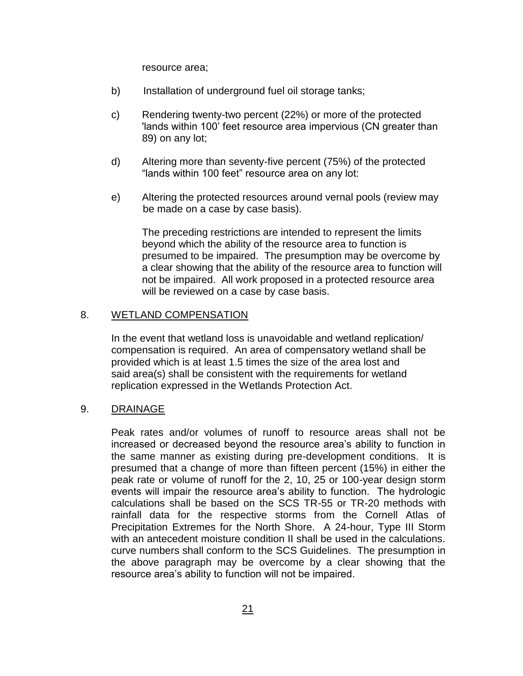resource area;

- b) Installation of underground fuel oil storage tanks;
- c) Rendering twenty-two percent (22%) or more of the protected 'lands within 100' feet resource area impervious (CN greater than 89) on any lot;
- d) Altering more than seventy-five percent (75%) of the protected "lands within 100 feet" resource area on any lot:
- e) Altering the protected resources around vernal pools (review may be made on a case by case basis).

The preceding restrictions are intended to represent the limits beyond which the ability of the resource area to function is presumed to be impaired. The presumption may be overcome by a clear showing that the ability of the resource area to function will not be impaired. All work proposed in a protected resource area will be reviewed on a case by case basis.

#### 8. WETLAND COMPENSATION

In the event that wetland loss is unavoidable and wetland replication/ compensation is required. An area of compensatory wetland shall be provided which is at least 1.5 times the size of the area lost and said area(s) shall be consistent with the requirements for wetland replication expressed in the Wetlands Protection Act.

#### 9. DRAINAGE

Peak rates and/or volumes of runoff to resource areas shall not be increased or decreased beyond the resource area's ability to function in the same manner as existing during pre-development conditions. It is presumed that a change of more than fifteen percent (15%) in either the peak rate or volume of runoff for the 2, 10, 25 or 100-year design storm events will impair the resource area's ability to function. The hydrologic calculations shall be based on the SCS TR-55 or TR-20 methods with rainfall data for the respective storms from the Cornell Atlas of Precipitation Extremes for the North Shore. A 24-hour, Type III Storm with an antecedent moisture condition II shall be used in the calculations. curve numbers shall conform to the SCS Guidelines. The presumption in the above paragraph may be overcome by a clear showing that the resource area's ability to function will not be impaired.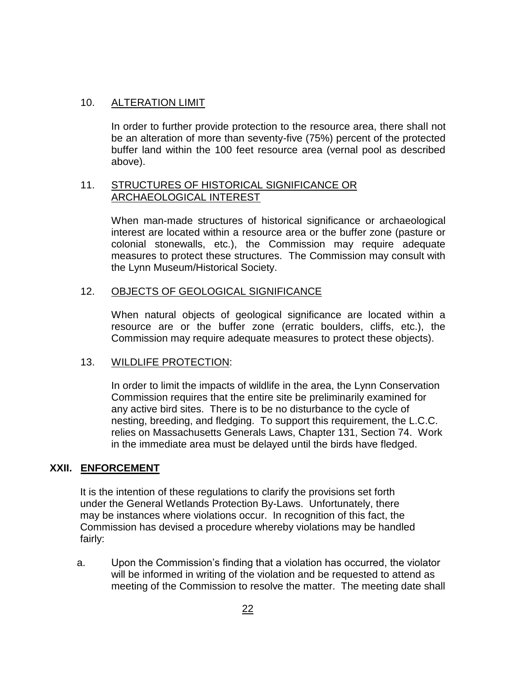#### 10. ALTERATION LIMIT

In order to further provide protection to the resource area, there shall not be an alteration of more than seventy-five (75%) percent of the protected buffer land within the 100 feet resource area (vernal pool as described above).

#### 11. STRUCTURES OF HISTORICAL SIGNIFICANCE OR ARCHAEOLOGICAL INTEREST

When man-made structures of historical significance or archaeological interest are located within a resource area or the buffer zone (pasture or colonial stonewalls, etc.), the Commission may require adequate measures to protect these structures. The Commission may consult with the Lynn Museum/Historical Society.

#### 12. OBJECTS OF GEOLOGICAL SIGNIFICANCE

When natural objects of geological significance are located within a resource are or the buffer zone (erratic boulders, cliffs, etc.), the Commission may require adequate measures to protect these objects).

#### 13. WILDLIFE PROTECTION:

In order to limit the impacts of wildlife in the area, the Lynn Conservation Commission requires that the entire site be preliminarily examined for any active bird sites. There is to be no disturbance to the cycle of nesting, breeding, and fledging. To support this requirement, the L.C.C. relies on Massachusetts Generals Laws, Chapter 131, Section 74. Work in the immediate area must be delayed until the birds have fledged.

### **XXII. ENFORCEMENT**

 It is the intention of these regulations to clarify the provisions set forth under the General Wetlands Protection By-Laws. Unfortunately, there may be instances where violations occur. In recognition of this fact, the Commission has devised a procedure whereby violations may be handled fairly:

a. Upon the Commission's finding that a violation has occurred, the violator will be informed in writing of the violation and be requested to attend as meeting of the Commission to resolve the matter. The meeting date shall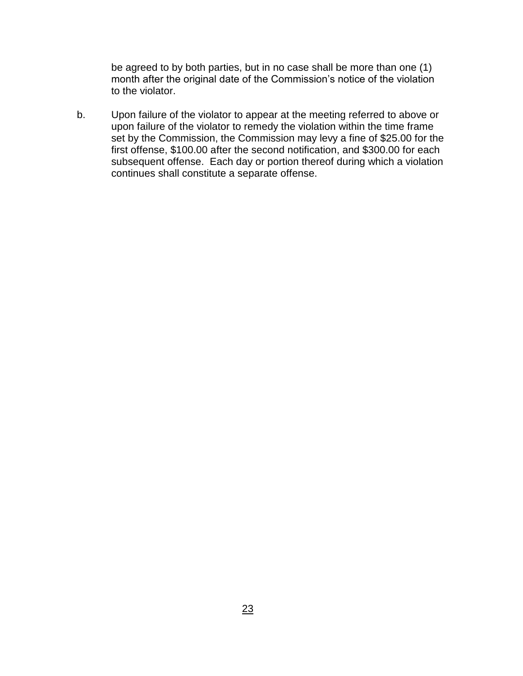be agreed to by both parties, but in no case shall be more than one (1) month after the original date of the Commission's notice of the violation to the violator.

b. Upon failure of the violator to appear at the meeting referred to above or upon failure of the violator to remedy the violation within the time frame set by the Commission, the Commission may levy a fine of \$25.00 for the first offense, \$100.00 after the second notification, and \$300.00 for each subsequent offense. Each day or portion thereof during which a violation continues shall constitute a separate offense.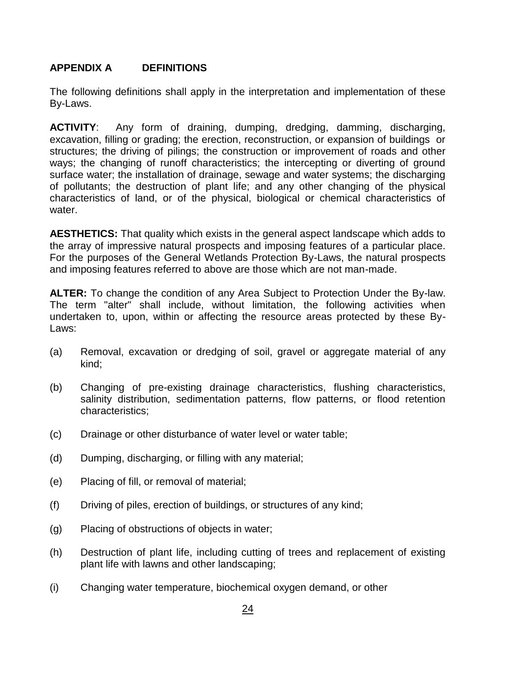#### **APPENDIX A DEFINITIONS**

The following definitions shall apply in the interpretation and implementation of these By-Laws.

**ACTIVITY**: Any form of draining, dumping, dredging, damming, discharging, excavation, filling or grading; the erection, reconstruction, or expansion of buildings or structures; the driving of pilings; the construction or improvement of roads and other ways; the changing of runoff characteristics; the intercepting or diverting of ground surface water; the installation of drainage, sewage and water systems; the discharging of pollutants; the destruction of plant life; and any other changing of the physical characteristics of land, or of the physical, biological or chemical characteristics of water.

**AESTHETICS:** That quality which exists in the general aspect landscape which adds to the array of impressive natural prospects and imposing features of a particular place. For the purposes of the General Wetlands Protection By-Laws, the natural prospects and imposing features referred to above are those which are not man-made.

**ALTER:** To change the condition of any Area Subject to Protection Under the By-law. The term "alter" shall include, without limitation, the following activities when undertaken to, upon, within or affecting the resource areas protected by these By-Laws:

- (a) Removal, excavation or dredging of soil, gravel or aggregate material of any kind;
- (b) Changing of pre-existing drainage characteristics, flushing characteristics, salinity distribution, sedimentation patterns, flow patterns, or flood retention characteristics;
- (c) Drainage or other disturbance of water level or water table;
- (d) Dumping, discharging, or filling with any material;
- (e) Placing of fill, or removal of material;
- (f) Driving of piles, erection of buildings, or structures of any kind;
- (g) Placing of obstructions of objects in water;
- (h) Destruction of plant life, including cutting of trees and replacement of existing plant life with lawns and other landscaping;
- (i) Changing water temperature, biochemical oxygen demand, or other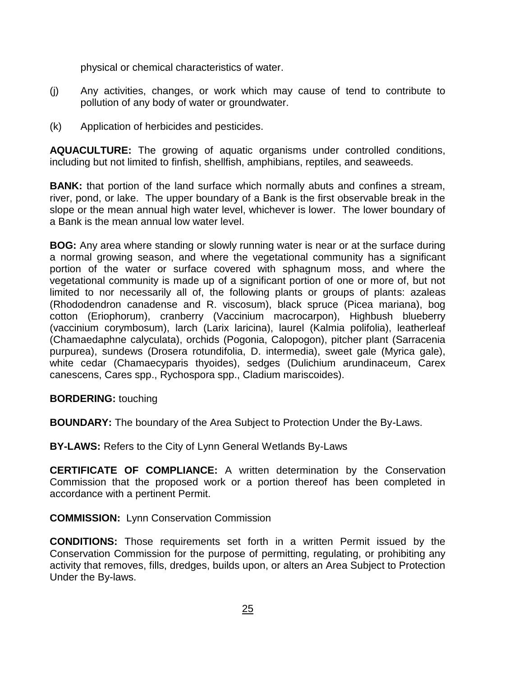physical or chemical characteristics of water.

- (j) Any activities, changes, or work which may cause of tend to contribute to pollution of any body of water or groundwater.
- (k) Application of herbicides and pesticides.

**AQUACULTURE:** The growing of aquatic organisms under controlled conditions, including but not limited to finfish, shellfish, amphibians, reptiles, and seaweeds.

**BANK:** that portion of the land surface which normally abuts and confines a stream, river, pond, or lake. The upper boundary of a Bank is the first observable break in the slope or the mean annual high water level, whichever is lower. The lower boundary of a Bank is the mean annual low water level.

**BOG:** Any area where standing or slowly running water is near or at the surface during a normal growing season, and where the vegetational community has a significant portion of the water or surface covered with sphagnum moss, and where the vegetational community is made up of a significant portion of one or more of, but not limited to nor necessarily all of, the following plants or groups of plants: azaleas (Rhododendron canadense and R. viscosum), black spruce (Picea mariana), bog cotton (Eriophorum), cranberry (Vaccinium macrocarpon), Highbush blueberry (vaccinium corymbosum), larch (Larix laricina), laurel (Kalmia polifolia), leatherleaf (Chamaedaphne calyculata), orchids (Pogonia, Calopogon), pitcher plant (Sarracenia purpurea), sundews (Drosera rotundifolia, D. intermedia), sweet gale (Myrica gale), white cedar (Chamaecyparis thyoides), sedges (Dulichium arundinaceum, Carex canescens, Cares spp., Rychospora spp., Cladium mariscoides).

**BORDERING:** touching

**BOUNDARY:** The boundary of the Area Subject to Protection Under the By-Laws.

**BY-LAWS:** Refers to the City of Lynn General Wetlands By-Laws

**CERTIFICATE OF COMPLIANCE:** A written determination by the Conservation Commission that the proposed work or a portion thereof has been completed in accordance with a pertinent Permit.

#### **COMMISSION:** Lynn Conservation Commission

**CONDITIONS:** Those requirements set forth in a written Permit issued by the Conservation Commission for the purpose of permitting, regulating, or prohibiting any activity that removes, fills, dredges, builds upon, or alters an Area Subject to Protection Under the By-laws.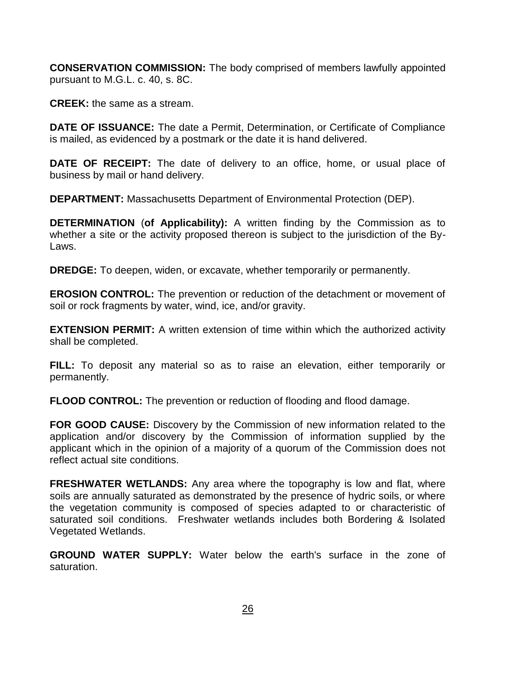**CONSERVATION COMMISSION:** The body comprised of members lawfully appointed pursuant to M.G.L. c. 40, s. 8C.

**CREEK:** the same as a stream.

**DATE OF ISSUANCE:** The date a Permit, Determination, or Certificate of Compliance is mailed, as evidenced by a postmark or the date it is hand delivered.

**DATE OF RECEIPT:** The date of delivery to an office, home, or usual place of business by mail or hand delivery.

**DEPARTMENT:** Massachusetts Department of Environmental Protection (DEP).

**DETERMINATION** (**of Applicability):** A written finding by the Commission as to whether a site or the activity proposed thereon is subject to the jurisdiction of the By-Laws.

**DREDGE:** To deepen, widen, or excavate, whether temporarily or permanently.

**EROSION CONTROL:** The prevention or reduction of the detachment or movement of soil or rock fragments by water, wind, ice, and/or gravity.

**EXTENSION PERMIT:** A written extension of time within which the authorized activity shall be completed.

**FILL:** To deposit any material so as to raise an elevation, either temporarily or permanently.

**FLOOD CONTROL:** The prevention or reduction of flooding and flood damage.

**FOR GOOD CAUSE:** Discovery by the Commission of new information related to the application and/or discovery by the Commission of information supplied by the applicant which in the opinion of a majority of a quorum of the Commission does not reflect actual site conditions.

**FRESHWATER WETLANDS:** Any area where the topography is low and flat, where soils are annually saturated as demonstrated by the presence of hydric soils, or where the vegetation community is composed of species adapted to or characteristic of saturated soil conditions. Freshwater wetlands includes both Bordering & Isolated Vegetated Wetlands.

**GROUND WATER SUPPLY:** Water below the earth's surface in the zone of saturation.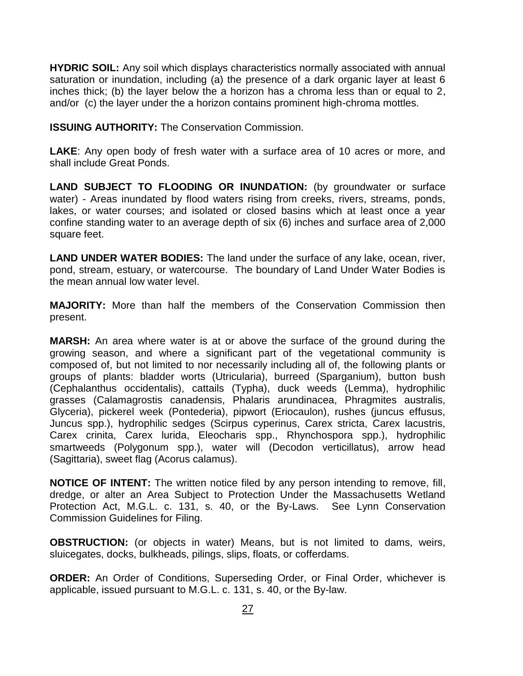**HYDRIC SOIL:** Any soil which displays characteristics normally associated with annual saturation or inundation, including (a) the presence of a dark organic layer at least 6 inches thick; (b) the layer below the a horizon has a chroma less than or equal to 2, and/or (c) the layer under the a horizon contains prominent high-chroma mottles.

**ISSUING AUTHORITY:** The Conservation Commission.

**LAKE**: Any open body of fresh water with a surface area of 10 acres or more, and shall include Great Ponds.

**LAND SUBJECT TO FLOODING OR INUNDATION:** (by groundwater or surface water) - Areas inundated by flood waters rising from creeks, rivers, streams, ponds, lakes, or water courses; and isolated or closed basins which at least once a year confine standing water to an average depth of six (6) inches and surface area of 2,000 square feet.

**LAND UNDER WATER BODIES:** The land under the surface of any lake, ocean, river, pond, stream, estuary, or watercourse. The boundary of Land Under Water Bodies is the mean annual low water level.

**MAJORITY:** More than half the members of the Conservation Commission then present.

**MARSH:** An area where water is at or above the surface of the ground during the growing season, and where a significant part of the vegetational community is composed of, but not limited to nor necessarily including all of, the following plants or groups of plants: bladder worts (Utricularia), burreed (Sparganium), button bush (Cephalanthus occidentalis), cattails (Typha), duck weeds (Lemma), hydrophilic grasses (Calamagrostis canadensis, Phalaris arundinacea, Phragmites australis, Glyceria), pickerel week (Pontederia), pipwort (Eriocaulon), rushes (juncus effusus, Juncus spp.), hydrophilic sedges (Scirpus cyperinus, Carex stricta, Carex lacustris, Carex crinita, Carex lurida, Eleocharis spp., Rhynchospora spp.), hydrophilic smartweeds (Polygonum spp.), water will (Decodon verticillatus), arrow head (Sagittaria), sweet flag (Acorus calamus).

**NOTICE OF INTENT:** The written notice filed by any person intending to remove, fill, dredge, or alter an Area Subject to Protection Under the Massachusetts Wetland Protection Act, M.G.L. c. 131, s. 40, or the By-Laws. See Lynn Conservation Commission Guidelines for Filing.

**OBSTRUCTION:** (or objects in water) Means, but is not limited to dams, weirs, sluicegates, docks, bulkheads, pilings, slips, floats, or cofferdams.

**ORDER:** An Order of Conditions, Superseding Order, or Final Order, whichever is applicable, issued pursuant to M.G.L. c. 131, s. 40, or the By-law.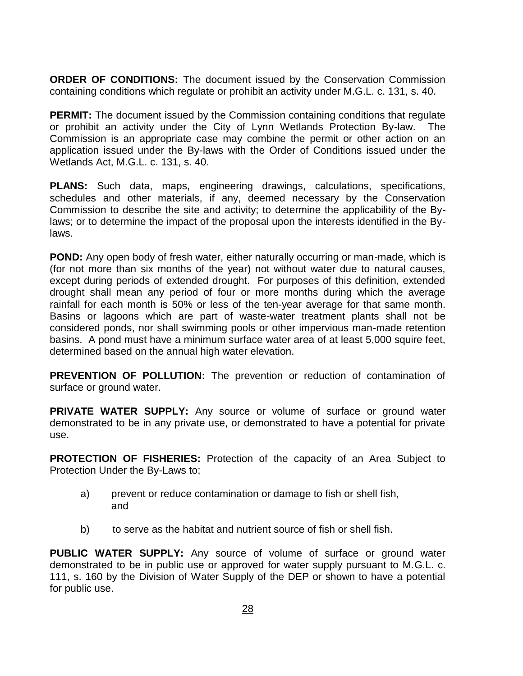**ORDER OF CONDITIONS:** The document issued by the Conservation Commission containing conditions which regulate or prohibit an activity under M.G.L. c. 131, s. 40.

**PERMIT:** The document issued by the Commission containing conditions that regulate or prohibit an activity under the City of Lynn Wetlands Protection By-law. The Commission is an appropriate case may combine the permit or other action on an application issued under the By-laws with the Order of Conditions issued under the Wetlands Act, M.G.L. c. 131, s. 40.

**PLANS:** Such data, maps, engineering drawings, calculations, specifications, schedules and other materials, if any, deemed necessary by the Conservation Commission to describe the site and activity; to determine the applicability of the Bylaws; or to determine the impact of the proposal upon the interests identified in the Bylaws.

**POND:** Any open body of fresh water, either naturally occurring or man-made, which is (for not more than six months of the year) not without water due to natural causes, except during periods of extended drought. For purposes of this definition, extended drought shall mean any period of four or more months during which the average rainfall for each month is 50% or less of the ten-year average for that same month. Basins or lagoons which are part of waste-water treatment plants shall not be considered ponds, nor shall swimming pools or other impervious man-made retention basins. A pond must have a minimum surface water area of at least 5,000 squire feet, determined based on the annual high water elevation.

**PREVENTION OF POLLUTION:** The prevention or reduction of contamination of surface or ground water.

**PRIVATE WATER SUPPLY:** Any source or volume of surface or ground water demonstrated to be in any private use, or demonstrated to have a potential for private use.

**PROTECTION OF FISHERIES:** Protection of the capacity of an Area Subject to Protection Under the By-Laws to;

- a) prevent or reduce contamination or damage to fish or shell fish, and
- b) to serve as the habitat and nutrient source of fish or shell fish.

**PUBLIC WATER SUPPLY:** Any source of volume of surface or ground water demonstrated to be in public use or approved for water supply pursuant to M.G.L. c. 111, s. 160 by the Division of Water Supply of the DEP or shown to have a potential for public use.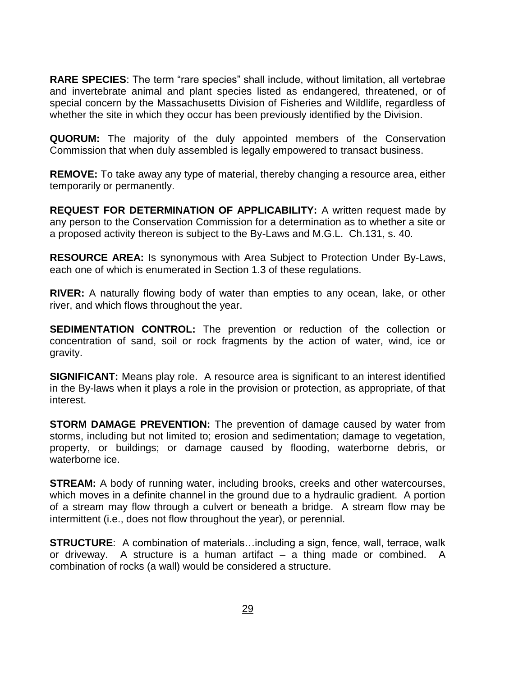**RARE SPECIES**: The term "rare species" shall include, without limitation, all vertebrae and invertebrate animal and plant species listed as endangered, threatened, or of special concern by the Massachusetts Division of Fisheries and Wildlife, regardless of whether the site in which they occur has been previously identified by the Division.

**QUORUM:** The majority of the duly appointed members of the Conservation Commission that when duly assembled is legally empowered to transact business.

**REMOVE:** To take away any type of material, thereby changing a resource area, either temporarily or permanently.

**REQUEST FOR DETERMINATION OF APPLICABILITY:** A written request made by any person to the Conservation Commission for a determination as to whether a site or a proposed activity thereon is subject to the By-Laws and M.G.L. Ch.131, s. 40.

**RESOURCE AREA:** Is synonymous with Area Subject to Protection Under By-Laws, each one of which is enumerated in Section 1.3 of these regulations.

**RIVER:** A naturally flowing body of water than empties to any ocean, lake, or other river, and which flows throughout the year.

**SEDIMENTATION CONTROL:** The prevention or reduction of the collection or concentration of sand, soil or rock fragments by the action of water, wind, ice or gravity.

**SIGNIFICANT:** Means play role. A resource area is significant to an interest identified in the By-laws when it plays a role in the provision or protection, as appropriate, of that interest.

**STORM DAMAGE PREVENTION:** The prevention of damage caused by water from storms, including but not limited to; erosion and sedimentation; damage to vegetation, property, or buildings; or damage caused by flooding, waterborne debris, or waterborne ice.

**STREAM:** A body of running water, including brooks, creeks and other watercourses, which moves in a definite channel in the ground due to a hydraulic gradient. A portion of a stream may flow through a culvert or beneath a bridge. A stream flow may be intermittent (i.e., does not flow throughout the year), or perennial.

**STRUCTURE**: A combination of materials…including a sign, fence, wall, terrace, walk or driveway. A structure is a human artifact – a thing made or combined. A combination of rocks (a wall) would be considered a structure.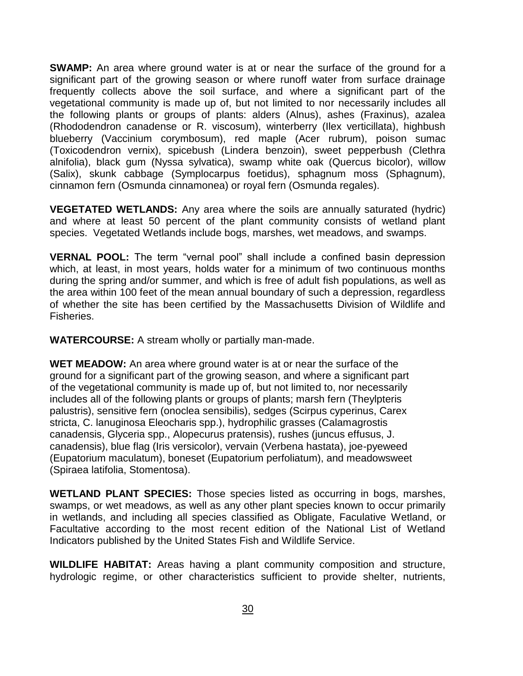**SWAMP:** An area where ground water is at or near the surface of the ground for a significant part of the growing season or where runoff water from surface drainage frequently collects above the soil surface, and where a significant part of the vegetational community is made up of, but not limited to nor necessarily includes all the following plants or groups of plants: alders (Alnus), ashes (Fraxinus), azalea (Rhododendron canadense or R. viscosum), winterberry (Ilex verticillata), highbush blueberry (Vaccinium corymbosum), red maple (Acer rubrum), poison sumac (Toxicodendron vernix), spicebush (Lindera benzoin), sweet pepperbush (Clethra alnifolia), black gum (Nyssa sylvatica), swamp white oak (Quercus bicolor), willow (Salix), skunk cabbage (Symplocarpus foetidus), sphagnum moss (Sphagnum), cinnamon fern (Osmunda cinnamonea) or royal fern (Osmunda regales).

**VEGETATED WETLANDS:** Any area where the soils are annually saturated (hydric) and where at least 50 percent of the plant community consists of wetland plant species. Vegetated Wetlands include bogs, marshes, wet meadows, and swamps.

**VERNAL POOL:** The term "vernal pool" shall include a confined basin depression which, at least, in most years, holds water for a minimum of two continuous months during the spring and/or summer, and which is free of adult fish populations, as well as the area within 100 feet of the mean annual boundary of such a depression, regardless of whether the site has been certified by the Massachusetts Division of Wildlife and Fisheries.

**WATERCOURSE:** A stream wholly or partially man-made.

**WET MEADOW:** An area where ground water is at or near the surface of the ground for a significant part of the growing season, and where a significant part of the vegetational community is made up of, but not limited to, nor necessarily includes all of the following plants or groups of plants; marsh fern (Theylpteris palustris), sensitive fern (onoclea sensibilis), sedges (Scirpus cyperinus, Carex stricta, C. lanuginosa Eleocharis spp.), hydrophilic grasses (Calamagrostis canadensis, Glyceria spp., Alopecurus pratensis), rushes (juncus effusus, J. canadensis), blue flag (Iris versicolor), vervain (Verbena hastata), joe-pyeweed (Eupatorium maculatum), boneset (Eupatorium perfoliatum), and meadowsweet (Spiraea latifolia, Stomentosa).

**WETLAND PLANT SPECIES:** Those species listed as occurring in bogs, marshes, swamps, or wet meadows, as well as any other plant species known to occur primarily in wetlands, and including all species classified as Obligate, Faculative Wetland, or Facultative according to the most recent edition of the National List of Wetland Indicators published by the United States Fish and Wildlife Service.

**WILDLIFE HABITAT:** Areas having a plant community composition and structure, hydrologic regime, or other characteristics sufficient to provide shelter, nutrients,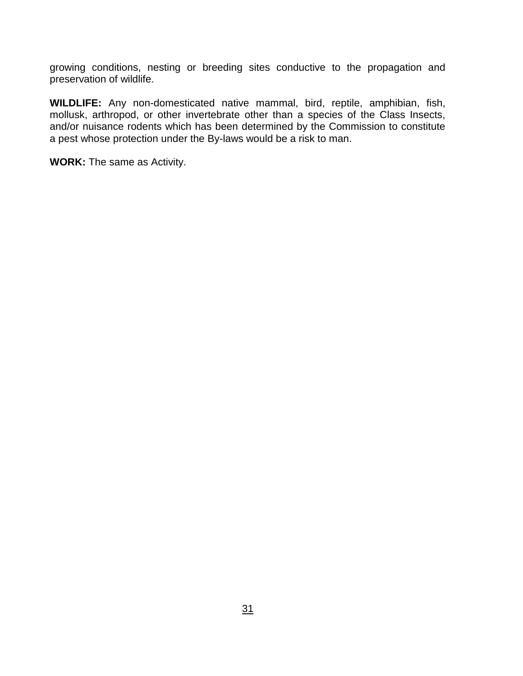growing conditions, nesting or breeding sites conductive to the propagation and preservation of wildlife.

**WILDLIFE:** Any non-domesticated native mammal, bird, reptile, amphibian, fish, mollusk, arthropod, or other invertebrate other than a species of the Class Insects, and/or nuisance rodents which has been determined by the Commission to constitute a pest whose protection under the By-laws would be a risk to man.

**WORK:** The same as Activity.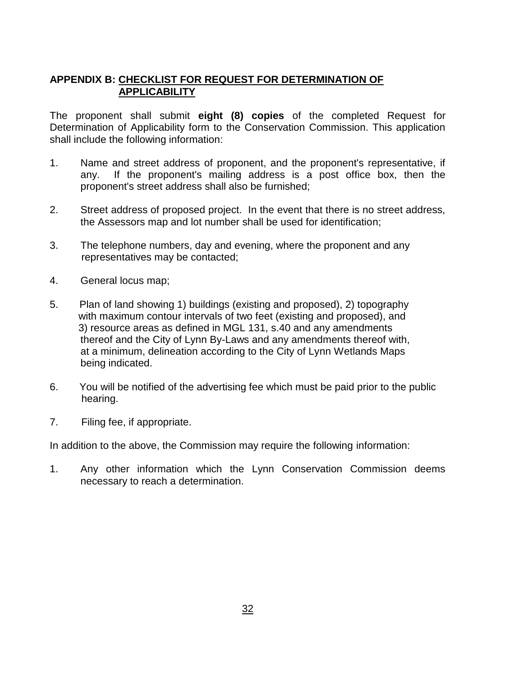### **APPENDIX B: CHECKLIST FOR REQUEST FOR DETERMINATION OF APPLICABILITY**

The proponent shall submit **eight (8) copies** of the completed Request for Determination of Applicability form to the Conservation Commission. This application shall include the following information:

- 1. Name and street address of proponent, and the proponent's representative, if any. If the proponent's mailing address is a post office box, then the proponent's street address shall also be furnished;
- 2. Street address of proposed project. In the event that there is no street address, the Assessors map and lot number shall be used for identification;
- 3. The telephone numbers, day and evening, where the proponent and any representatives may be contacted;
- 4. General locus map;
- 5. Plan of land showing 1) buildings (existing and proposed), 2) topography with maximum contour intervals of two feet (existing and proposed), and 3) resource areas as defined in MGL 131, s.40 and any amendments thereof and the City of Lynn By-Laws and any amendments thereof with, at a minimum, delineation according to the City of Lynn Wetlands Maps being indicated.
- 6. You will be notified of the advertising fee which must be paid prior to the public hearing.
- 7. Filing fee, if appropriate.

In addition to the above, the Commission may require the following information:

1. Any other information which the Lynn Conservation Commission deems necessary to reach a determination.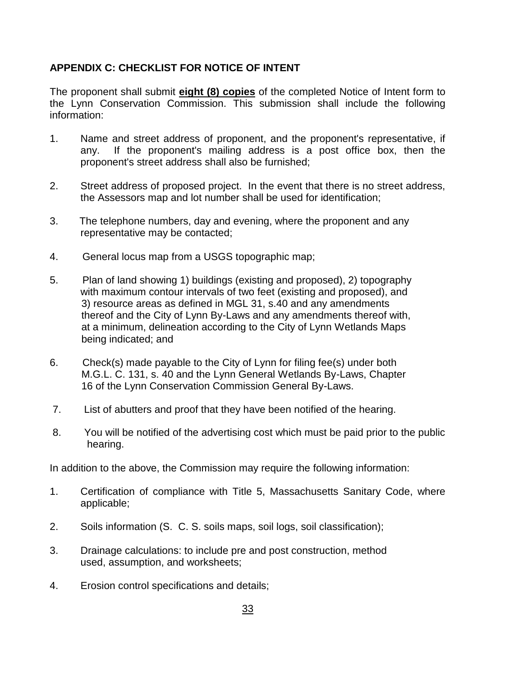### **APPENDIX C: CHECKLIST FOR NOTICE OF INTENT**

The proponent shall submit **eight (8) copies** of the completed Notice of Intent form to the Lynn Conservation Commission. This submission shall include the following information:

- 1. Name and street address of proponent, and the proponent's representative, if any. If the proponent's mailing address is a post office box, then the proponent's street address shall also be furnished;
- 2. Street address of proposed project. In the event that there is no street address, the Assessors map and lot number shall be used for identification;
- 3. The telephone numbers, day and evening, where the proponent and any representative may be contacted;
- 4. General locus map from a USGS topographic map;
- 5. Plan of land showing 1) buildings (existing and proposed), 2) topography with maximum contour intervals of two feet (existing and proposed), and 3) resource areas as defined in MGL 31, s.40 and any amendments thereof and the City of Lynn By-Laws and any amendments thereof with, at a minimum, delineation according to the City of Lynn Wetlands Maps being indicated; and
- 6. Check(s) made payable to the City of Lynn for filing fee(s) under both M.G.L. C. 131, s. 40 and the Lynn General Wetlands By-Laws, Chapter 16 of the Lynn Conservation Commission General By-Laws.
- 7. List of abutters and proof that they have been notified of the hearing.
- 8. You will be notified of the advertising cost which must be paid prior to the public hearing.

In addition to the above, the Commission may require the following information:

- 1. Certification of compliance with Title 5, Massachusetts Sanitary Code, where applicable;
- 2. Soils information (S. C. S. soils maps, soil logs, soil classification);
- 3. Drainage calculations: to include pre and post construction, method used, assumption, and worksheets;
- 4. Erosion control specifications and details;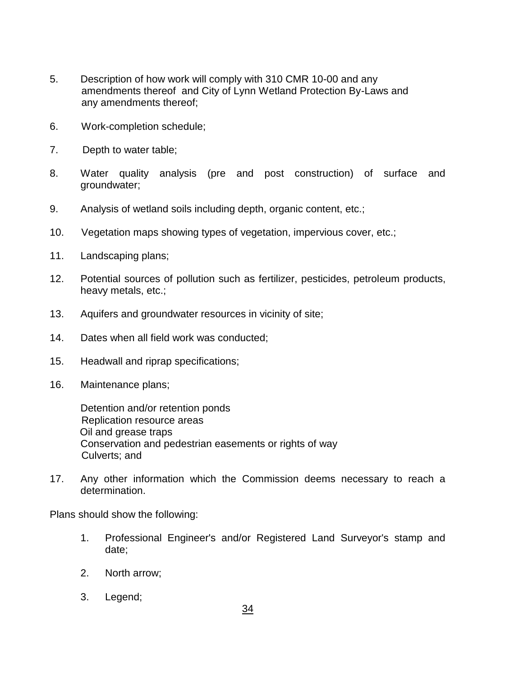- 5. Description of how work will comply with 310 CMR 10-00 and any amendments thereof and City of Lynn Wetland Protection By-Laws and any amendments thereof;
- 6. Work-completion schedule;
- 7. Depth to water table;
- 8. Water quality analysis (pre and post construction) of surface and groundwater;
- 9. Analysis of wetland soils including depth, organic content, etc.;
- 10. Vegetation maps showing types of vegetation, impervious cover, etc.;
- 11. Landscaping plans;
- 12. Potential sources of pollution such as fertilizer, pesticides, petroleum products, heavy metals, etc.;
- 13. Aquifers and groundwater resources in vicinity of site;
- 14. Dates when all field work was conducted;
- 15. Headwall and riprap specifications;
- 16. Maintenance plans;

Detention and/or retention ponds Replication resource areas Oil and grease traps Conservation and pedestrian easements or rights of way Culverts; and

17. Any other information which the Commission deems necessary to reach a determination.

Plans should show the following:

- 1. Professional Engineer's and/or Registered Land Surveyor's stamp and date;
- 2. North arrow;
- 3. Legend;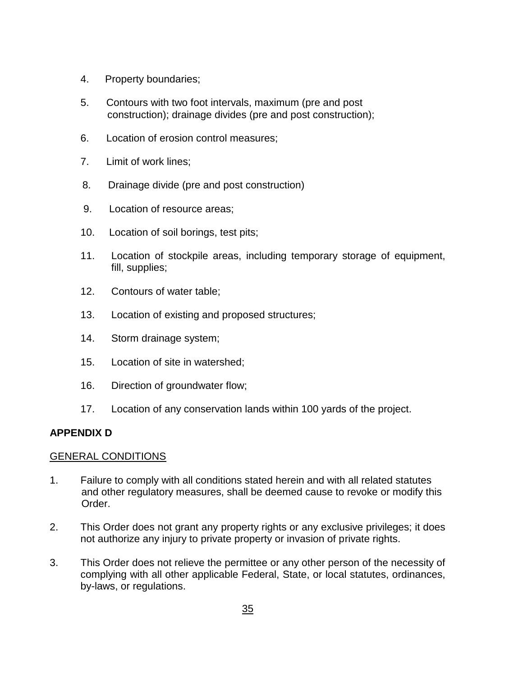- 4. Property boundaries;
- 5. Contours with two foot intervals, maximum (pre and post construction); drainage divides (pre and post construction);
- 6. Location of erosion control measures;
- 7. Limit of work lines;
- 8. Drainage divide (pre and post construction)
- 9. Location of resource areas;
- 10. Location of soil borings, test pits;
- 11. Location of stockpile areas, including temporary storage of equipment, fill, supplies;
- 12. Contours of water table;
- 13. Location of existing and proposed structures;
- 14. Storm drainage system;
- 15. Location of site in watershed;
- 16. Direction of groundwater flow;
- 17. Location of any conservation lands within 100 yards of the project.

### **APPENDIX D**

#### GENERAL CONDITIONS

- 1. Failure to comply with all conditions stated herein and with all related statutes and other regulatory measures, shall be deemed cause to revoke or modify this Order.
- 2. This Order does not grant any property rights or any exclusive privileges; it does not authorize any injury to private property or invasion of private rights.
- 3. This Order does not relieve the permittee or any other person of the necessity of complying with all other applicable Federal, State, or local statutes, ordinances, by-laws, or regulations.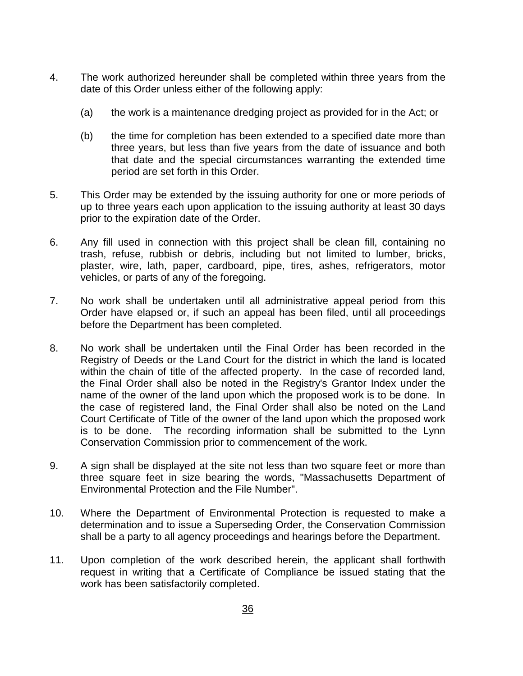- 4. The work authorized hereunder shall be completed within three years from the date of this Order unless either of the following apply:
	- (a) the work is a maintenance dredging project as provided for in the Act; or
	- (b) the time for completion has been extended to a specified date more than three years, but less than five years from the date of issuance and both that date and the special circumstances warranting the extended time period are set forth in this Order.
- 5. This Order may be extended by the issuing authority for one or more periods of up to three years each upon application to the issuing authority at least 30 days prior to the expiration date of the Order.
- 6. Any fill used in connection with this project shall be clean fill, containing no trash, refuse, rubbish or debris, including but not limited to lumber, bricks, plaster, wire, lath, paper, cardboard, pipe, tires, ashes, refrigerators, motor vehicles, or parts of any of the foregoing.
- 7. No work shall be undertaken until all administrative appeal period from this Order have elapsed or, if such an appeal has been filed, until all proceedings before the Department has been completed.
- 8. No work shall be undertaken until the Final Order has been recorded in the Registry of Deeds or the Land Court for the district in which the land is located within the chain of title of the affected property. In the case of recorded land, the Final Order shall also be noted in the Registry's Grantor Index under the name of the owner of the land upon which the proposed work is to be done. In the case of registered land, the Final Order shall also be noted on the Land Court Certificate of Title of the owner of the land upon which the proposed work is to be done. The recording information shall be submitted to the Lynn Conservation Commission prior to commencement of the work.
- 9. A sign shall be displayed at the site not less than two square feet or more than three square feet in size bearing the words, "Massachusetts Department of Environmental Protection and the File Number".
- 10. Where the Department of Environmental Protection is requested to make a determination and to issue a Superseding Order, the Conservation Commission shall be a party to all agency proceedings and hearings before the Department.
- 11. Upon completion of the work described herein, the applicant shall forthwith request in writing that a Certificate of Compliance be issued stating that the work has been satisfactorily completed.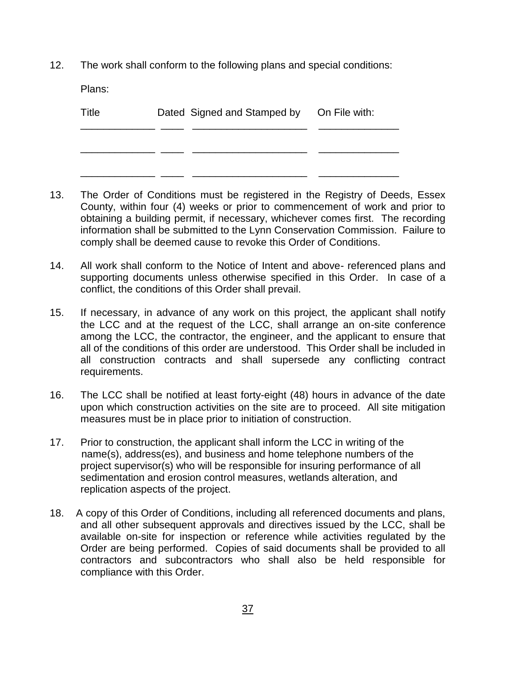12. The work shall conform to the following plans and special conditions:

Plans:

| Title | Dated Signed and Stamped by On File with: |  |
|-------|-------------------------------------------|--|
|       |                                           |  |
|       |                                           |  |

- 13. The Order of Conditions must be registered in the Registry of Deeds, Essex County, within four (4) weeks or prior to commencement of work and prior to obtaining a building permit, if necessary, whichever comes first. The recording information shall be submitted to the Lynn Conservation Commission. Failure to comply shall be deemed cause to revoke this Order of Conditions.
- 14. All work shall conform to the Notice of Intent and above- referenced plans and supporting documents unless otherwise specified in this Order. In case of a conflict, the conditions of this Order shall prevail.
- 15. If necessary, in advance of any work on this project, the applicant shall notify the LCC and at the request of the LCC, shall arrange an on-site conference among the LCC, the contractor, the engineer, and the applicant to ensure that all of the conditions of this order are understood. This Order shall be included in all construction contracts and shall supersede any conflicting contract requirements.
- 16. The LCC shall be notified at least forty-eight (48) hours in advance of the date upon which construction activities on the site are to proceed. All site mitigation measures must be in place prior to initiation of construction.
- 17. Prior to construction, the applicant shall inform the LCC in writing of the name(s), address(es), and business and home telephone numbers of the project supervisor(s) who will be responsible for insuring performance of all sedimentation and erosion control measures, wetlands alteration, and replication aspects of the project.
- 18. A copy of this Order of Conditions, including all referenced documents and plans, and all other subsequent approvals and directives issued by the LCC, shall be available on-site for inspection or reference while activities regulated by the Order are being performed. Copies of said documents shall be provided to all contractors and subcontractors who shall also be held responsible for compliance with this Order.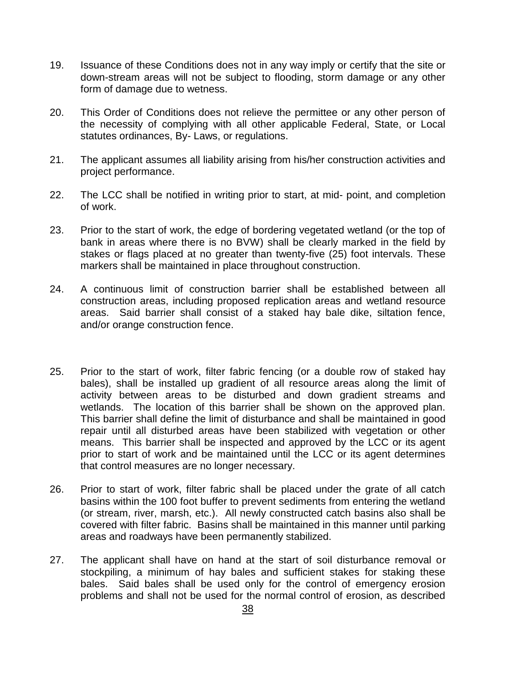- 19. Issuance of these Conditions does not in any way imply or certify that the site or down-stream areas will not be subject to flooding, storm damage or any other form of damage due to wetness.
- 20. This Order of Conditions does not relieve the permittee or any other person of the necessity of complying with all other applicable Federal, State, or Local statutes ordinances, By- Laws, or regulations.
- 21. The applicant assumes all liability arising from his/her construction activities and project performance.
- 22. The LCC shall be notified in writing prior to start, at mid- point, and completion of work.
- 23. Prior to the start of work, the edge of bordering vegetated wetland (or the top of bank in areas where there is no BVW) shall be clearly marked in the field by stakes or flags placed at no greater than twenty-five (25) foot intervals. These markers shall be maintained in place throughout construction.
- 24. A continuous limit of construction barrier shall be established between all construction areas, including proposed replication areas and wetland resource areas. Said barrier shall consist of a staked hay bale dike, siltation fence, and/or orange construction fence.
- 25. Prior to the start of work, filter fabric fencing (or a double row of staked hay bales), shall be installed up gradient of all resource areas along the limit of activity between areas to be disturbed and down gradient streams and wetlands. The location of this barrier shall be shown on the approved plan. This barrier shall define the limit of disturbance and shall be maintained in good repair until all disturbed areas have been stabilized with vegetation or other means. This barrier shall be inspected and approved by the LCC or its agent prior to start of work and be maintained until the LCC or its agent determines that control measures are no longer necessary.
- 26. Prior to start of work, filter fabric shall be placed under the grate of all catch basins within the 100 foot buffer to prevent sediments from entering the wetland (or stream, river, marsh, etc.). All newly constructed catch basins also shall be covered with filter fabric. Basins shall be maintained in this manner until parking areas and roadways have been permanently stabilized.
- 27. The applicant shall have on hand at the start of soil disturbance removal or stockpiling, a minimum of hay bales and sufficient stakes for staking these bales. Said bales shall be used only for the control of emergency erosion problems and shall not be used for the normal control of erosion, as described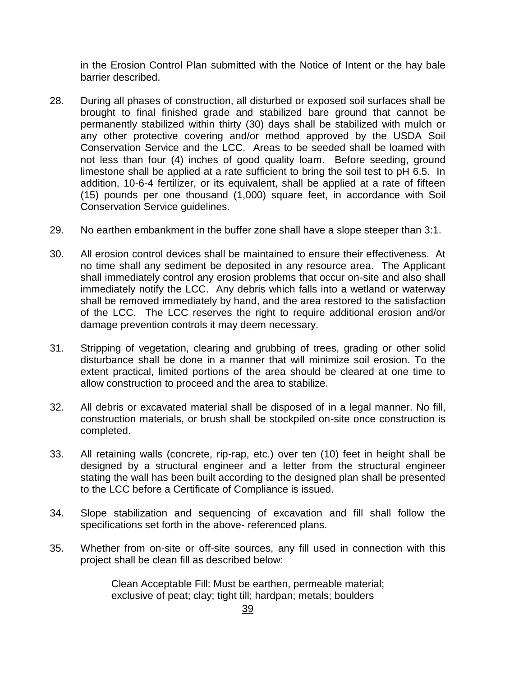in the Erosion Control Plan submitted with the Notice of Intent or the hay bale barrier described.

- 28. During all phases of construction, all disturbed or exposed soil surfaces shall be brought to final finished grade and stabilized bare ground that cannot be permanently stabilized within thirty (30) days shall be stabilized with mulch or any other protective covering and/or method approved by the USDA Soil Conservation Service and the LCC. Areas to be seeded shall be loamed with not less than four (4) inches of good quality loam. Before seeding, ground limestone shall be applied at a rate sufficient to bring the soil test to pH 6.5. In addition, 10-6-4 fertilizer, or its equivalent, shall be applied at a rate of fifteen (15) pounds per one thousand (1,000) square feet, in accordance with Soil Conservation Service guidelines.
- 29. No earthen embankment in the buffer zone shall have a slope steeper than 3:1.
- 30. All erosion control devices shall be maintained to ensure their effectiveness. At no time shall any sediment be deposited in any resource area. The Applicant shall immediately control any erosion problems that occur on-site and also shall immediately notify the LCC. Any debris which falls into a wetland or waterway shall be removed immediately by hand, and the area restored to the satisfaction of the LCC. The LCC reserves the right to require additional erosion and/or damage prevention controls it may deem necessary.
- 31. Stripping of vegetation, clearing and grubbing of trees, grading or other solid disturbance shall be done in a manner that will minimize soil erosion. To the extent practical, limited portions of the area should be cleared at one time to allow construction to proceed and the area to stabilize.
- 32. All debris or excavated material shall be disposed of in a legal manner. No fill, construction materials, or brush shall be stockpiled on-site once construction is completed.
- 33. All retaining walls (concrete, rip-rap, etc.) over ten (10) feet in height shall be designed by a structural engineer and a letter from the structural engineer stating the wall has been built according to the designed plan shall be presented to the LCC before a Certificate of Compliance is issued.
- 34. Slope stabilization and sequencing of excavation and fill shall follow the specifications set forth in the above- referenced plans.
- 35. Whether from on-site or off-site sources, any fill used in connection with this project shall be clean fill as described below:

Clean Acceptable Fill: Must be earthen, permeable material; exclusive of peat; clay; tight till; hardpan; metals; boulders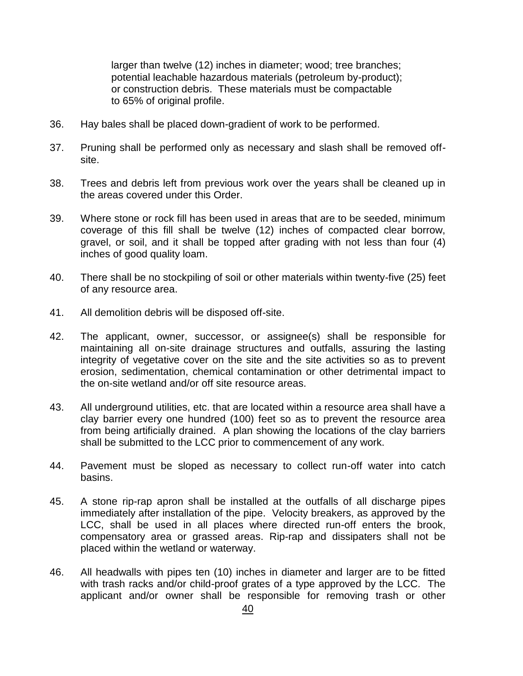larger than twelve (12) inches in diameter; wood; tree branches; potential leachable hazardous materials (petroleum by-product); or construction debris. These materials must be compactable to 65% of original profile.

- 36. Hay bales shall be placed down-gradient of work to be performed.
- 37. Pruning shall be performed only as necessary and slash shall be removed offsite.
- 38. Trees and debris left from previous work over the years shall be cleaned up in the areas covered under this Order.
- 39. Where stone or rock fill has been used in areas that are to be seeded, minimum coverage of this fill shall be twelve (12) inches of compacted clear borrow, gravel, or soil, and it shall be topped after grading with not less than four (4) inches of good quality loam.
- 40. There shall be no stockpiling of soil or other materials within twenty-five (25) feet of any resource area.
- 41. All demolition debris will be disposed off-site.
- 42. The applicant, owner, successor, or assignee(s) shall be responsible for maintaining all on-site drainage structures and outfalls, assuring the lasting integrity of vegetative cover on the site and the site activities so as to prevent erosion, sedimentation, chemical contamination or other detrimental impact to the on-site wetland and/or off site resource areas.
- 43. All underground utilities, etc. that are located within a resource area shall have a clay barrier every one hundred (100) feet so as to prevent the resource area from being artificially drained. A plan showing the locations of the clay barriers shall be submitted to the LCC prior to commencement of any work.
- 44. Pavement must be sloped as necessary to collect run-off water into catch basins.
- 45. A stone rip-rap apron shall be installed at the outfalls of all discharge pipes immediately after installation of the pipe. Velocity breakers, as approved by the LCC, shall be used in all places where directed run-off enters the brook, compensatory area or grassed areas. Rip-rap and dissipaters shall not be placed within the wetland or waterway.
- 46. All headwalls with pipes ten (10) inches in diameter and larger are to be fitted with trash racks and/or child-proof grates of a type approved by the LCC. The applicant and/or owner shall be responsible for removing trash or other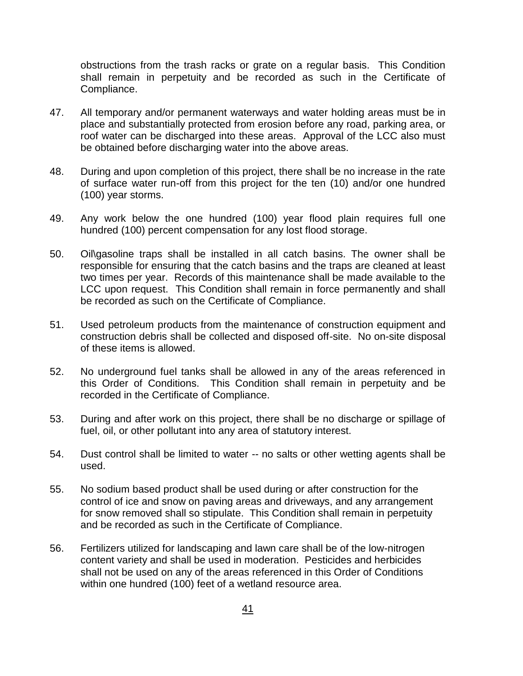obstructions from the trash racks or grate on a regular basis. This Condition shall remain in perpetuity and be recorded as such in the Certificate of Compliance.

- 47. All temporary and/or permanent waterways and water holding areas must be in place and substantially protected from erosion before any road, parking area, or roof water can be discharged into these areas. Approval of the LCC also must be obtained before discharging water into the above areas.
- 48. During and upon completion of this project, there shall be no increase in the rate of surface water run-off from this project for the ten (10) and/or one hundred (100) year storms.
- 49. Any work below the one hundred (100) year flood plain requires full one hundred (100) percent compensation for any lost flood storage.
- 50. Oil\gasoline traps shall be installed in all catch basins. The owner shall be responsible for ensuring that the catch basins and the traps are cleaned at least two times per year. Records of this maintenance shall be made available to the LCC upon request. This Condition shall remain in force permanently and shall be recorded as such on the Certificate of Compliance.
- 51. Used petroleum products from the maintenance of construction equipment and construction debris shall be collected and disposed off-site. No on-site disposal of these items is allowed.
- 52. No underground fuel tanks shall be allowed in any of the areas referenced in this Order of Conditions. This Condition shall remain in perpetuity and be recorded in the Certificate of Compliance.
- 53. During and after work on this project, there shall be no discharge or spillage of fuel, oil, or other pollutant into any area of statutory interest.
- 54. Dust control shall be limited to water -- no salts or other wetting agents shall be used.
- 55. No sodium based product shall be used during or after construction for the control of ice and snow on paving areas and driveways, and any arrangement for snow removed shall so stipulate. This Condition shall remain in perpetuity and be recorded as such in the Certificate of Compliance.
- 56. Fertilizers utilized for landscaping and lawn care shall be of the low-nitrogen content variety and shall be used in moderation. Pesticides and herbicides shall not be used on any of the areas referenced in this Order of Conditions within one hundred (100) feet of a wetland resource area.